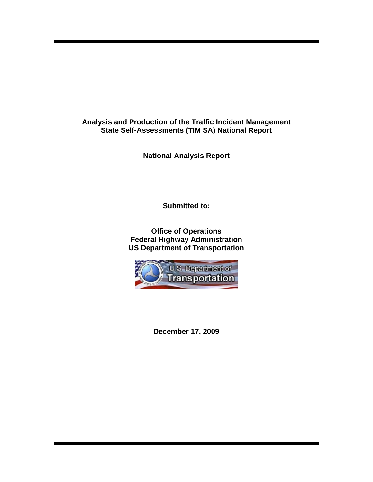### **Analysis and Production of the Traffic Incident Management State Self-Assessments (TIM SA) National Report**

**National Analysis Report** 

**Submitted to:** 

**Office of Operations Federal Highway Administration US Department of Transportation** 



**December 17, 2009**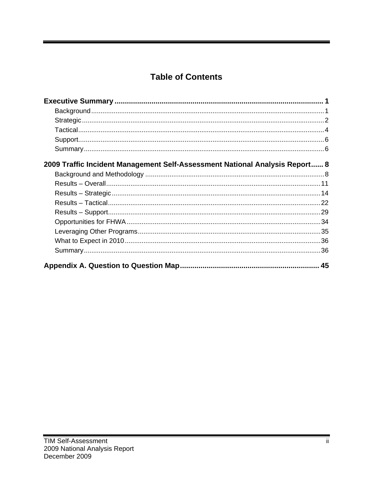# **Table of Contents**

| 2009 Traffic Incident Management Self-Assessment National Analysis Report 8 |  |
|-----------------------------------------------------------------------------|--|
|                                                                             |  |
|                                                                             |  |
|                                                                             |  |
|                                                                             |  |
|                                                                             |  |
|                                                                             |  |
|                                                                             |  |
|                                                                             |  |
|                                                                             |  |
|                                                                             |  |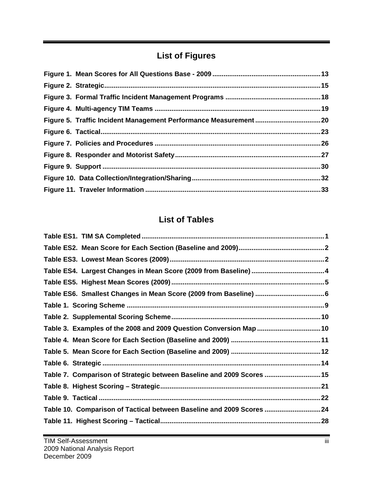# **List of Figures**

# **List of Tables**

| Table 7. Comparison of Strategic between Baseline and 2009 Scores  15 |  |
|-----------------------------------------------------------------------|--|
|                                                                       |  |
|                                                                       |  |
| Table 10. Comparison of Tactical between Baseline and 2009 Scores 24  |  |
|                                                                       |  |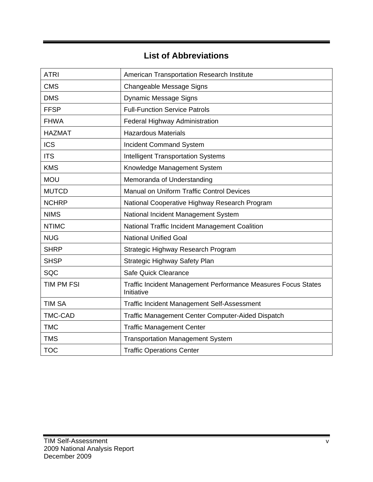## **List of Abbreviations**

| <b>ATRI</b>    | American Transportation Research Institute                                  |
|----------------|-----------------------------------------------------------------------------|
| <b>CMS</b>     | Changeable Message Signs                                                    |
| <b>DMS</b>     | <b>Dynamic Message Signs</b>                                                |
| <b>FFSP</b>    | <b>Full-Function Service Patrols</b>                                        |
| <b>FHWA</b>    | Federal Highway Administration                                              |
| <b>HAZMAT</b>  | <b>Hazardous Materials</b>                                                  |
| <b>ICS</b>     | <b>Incident Command System</b>                                              |
| <b>ITS</b>     | <b>Intelligent Transportation Systems</b>                                   |
| <b>KMS</b>     | Knowledge Management System                                                 |
| <b>MOU</b>     | Memoranda of Understanding                                                  |
| <b>MUTCD</b>   | Manual on Uniform Traffic Control Devices                                   |
| <b>NCHRP</b>   | National Cooperative Highway Research Program                               |
| <b>NIMS</b>    | National Incident Management System                                         |
| <b>NTIMC</b>   | National Traffic Incident Management Coalition                              |
| <b>NUG</b>     | <b>National Unified Goal</b>                                                |
| <b>SHRP</b>    | Strategic Highway Research Program                                          |
| <b>SHSP</b>    | Strategic Highway Safety Plan                                               |
| SQC            | Safe Quick Clearance                                                        |
| TIM PM FSI     | Traffic Incident Management Performance Measures Focus States<br>Initiative |
| <b>TIM SA</b>  | Traffic Incident Management Self-Assessment                                 |
| <b>TMC-CAD</b> | Traffic Management Center Computer-Aided Dispatch                           |
| <b>TMC</b>     | <b>Traffic Management Center</b>                                            |
| <b>TMS</b>     | <b>Transportation Management System</b>                                     |
| <b>TOC</b>     | <b>Traffic Operations Center</b>                                            |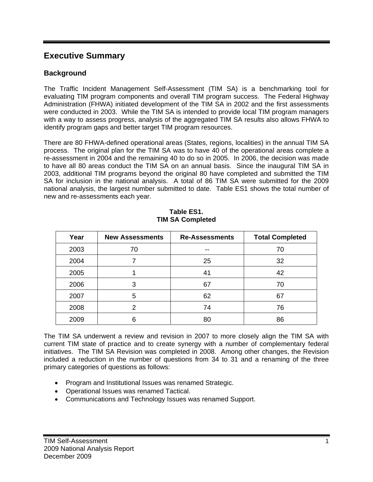## <span id="page-5-0"></span>**Executive Summary**

## <span id="page-5-1"></span>**Background**

The Traffic Incident Management Self-Assessment (TIM SA) is a benchmarking tool for evaluating TIM program components and overall TIM program success. The Federal Highway Administration (FHWA) initiated development of the TIM SA in 2002 and the first assessments were conducted in 2003. While the TIM SA is intended to provide local TIM program managers with a way to assess progress, analysis of the aggregated TIM SA results also allows FHWA to identify program gaps and better target TIM program resources.

There are 80 FHWA-defined operational areas (States, regions, localities) in the annual TIM SA process. The original plan for the TIM SA was to have 40 of the operational areas complete a re-assessment in 2004 and the remaining 40 to do so in 2005. In 2006, the decision was made to have all 80 areas conduct the TIM SA on an annual basis. Since the inaugural TIM SA in 2003, additional TIM programs beyond the original 80 have completed and submitted the TIM SA for inclusion in the national analysis. A total of 86 TIM SA were submitted for the 2009 national analysis, the largest number submitted to date. Table ES1 shows the total number of new and re-assessments each year.

<span id="page-5-2"></span>

| Year | <b>New Assessments</b> | <b>Re-Assessments</b> | <b>Total Completed</b> |
|------|------------------------|-----------------------|------------------------|
| 2003 | 70                     |                       | 70                     |
| 2004 |                        | 25                    | 32                     |
| 2005 |                        | 41                    | 42                     |
| 2006 | 3                      | 67                    | 70                     |
| 2007 | 5                      | 62                    | 67                     |
| 2008 | 2                      | 74                    | 76                     |
| 2009 | 6                      | 80                    | 86                     |

#### **Table ES1. TIM SA Completed**

The TIM SA underwent a review and revision in 2007 to more closely align the TIM SA with current TIM state of practice and to create synergy with a number of complementary federal initiatives. The TIM SA Revision was completed in 2008. Among other changes, the Revision included a reduction in the number of questions from 34 to 31 and a renaming of the three primary categories of questions as follows:

- Program and Institutional Issues was renamed Strategic.
- Operational Issues was renamed Tactical.
- Communications and Technology Issues was renamed Support.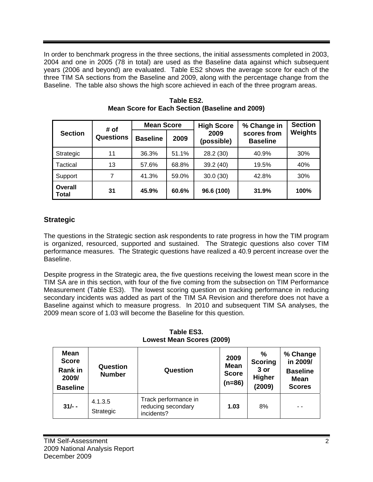In order to benchmark progress in the three sections, the initial assessments completed in 2003, 2004 and one in 2005 (78 in total) are used as the Baseline data against which subsequent years (2006 and beyond) are evaluated. Table ES2 shows the average score for each of the three TIM SA sections from the Baseline and 2009, along with the percentage change from the Baseline. The table also shows the high score achieved in each of the three program areas.

<span id="page-6-1"></span>

|                                | # of             | <b>Mean Score</b> |       | <b>High Score</b>  | % Change in                    | <b>Section</b> |  |
|--------------------------------|------------------|-------------------|-------|--------------------|--------------------------------|----------------|--|
| <b>Section</b>                 | <b>Questions</b> | <b>Baseline</b>   | 2009  | 2009<br>(possible) | scores from<br><b>Baseline</b> | Weights        |  |
| Strategic                      | 11               | 36.3%             | 51.1% | 28.2 (30)          | 40.9%                          | 30%            |  |
| Tactical                       | 13               | 57.6%             | 68.8% | 39.2 (40)          | 19.5%                          | 40%            |  |
| Support                        | 7                | 41.3%             | 59.0% | 30.0(30)           | 42.8%                          | 30%            |  |
| <b>Overall</b><br><b>Total</b> | 31               | 45.9%             | 60.6% | 96.6 (100)         | 31.9%                          | 100%           |  |

**Table ES2. Mean Score for Each Section (Baseline and 2009)** 

## <span id="page-6-0"></span>**Strategic**

The questions in the Strategic section ask respondents to rate progress in how the TIM program is organized, resourced, supported and sustained. The Strategic questions also cover TIM performance measures. The Strategic questions have realized a 40.9 percent increase over the Baseline.

Despite progress in the Strategic area, the five questions receiving the lowest mean score in the TIM SA are in this section, with four of the five coming from the subsection on TIM Performance Measurement (Table ES3). The lowest scoring question on tracking performance in reducing secondary incidents was added as part of the TIM SA Revision and therefore does not have a Baseline against which to measure progress. In 2010 and subsequent TIM SA analyses, the 2009 mean score of 1.03 will become the Baseline for this question.

<span id="page-6-2"></span>

| Mean<br><b>Score</b><br><b>Rank in</b><br>2009/<br><b>Baseline</b> | Question<br><b>Number</b> | Question                                                 | 2009<br><b>Mean</b><br><b>Score</b><br>$(n=86)$ | %<br><b>Scoring</b><br>3 or<br><b>Higher</b><br>(2009) | % Change<br>in 2009/<br><b>Baseline</b><br>Mean<br><b>Scores</b> |
|--------------------------------------------------------------------|---------------------------|----------------------------------------------------------|-------------------------------------------------|--------------------------------------------------------|------------------------------------------------------------------|
| $31/- -$                                                           | 4.1.3.5<br>Strategic      | Track performance in<br>reducing secondary<br>incidents? | 1.03                                            | 8%                                                     |                                                                  |

**Table ES3. Lowest Mean Scores (2009)**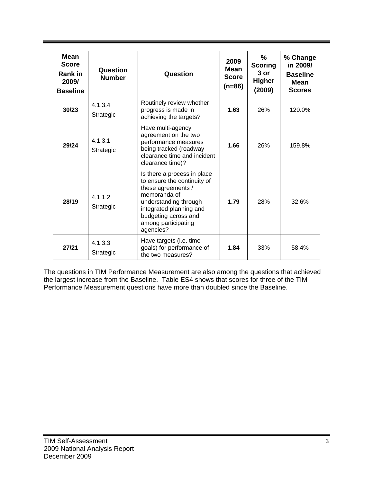| Mean<br><b>Score</b><br><b>Rank in</b><br>2009/<br><b>Baseline</b> | Question<br><b>Number</b> | Question                                                                                                                                                                                                         | 2009<br>Mean<br><b>Score</b><br>$(n=86)$ | $\%$<br><b>Scoring</b><br>$3$ or<br><b>Higher</b><br>(2009) | % Change<br>in 2009/<br><b>Baseline</b><br>Mean<br><b>Scores</b> |
|--------------------------------------------------------------------|---------------------------|------------------------------------------------------------------------------------------------------------------------------------------------------------------------------------------------------------------|------------------------------------------|-------------------------------------------------------------|------------------------------------------------------------------|
| 30/23                                                              | 4.1.3.4<br>Strategic      | Routinely review whether<br>progress is made in<br>achieving the targets?                                                                                                                                        | 1.63                                     | 26%                                                         | 120.0%                                                           |
| 29/24                                                              | 4.1.3.1<br>Strategic      | Have multi-agency<br>agreement on the two<br>performance measures<br>being tracked (roadway<br>clearance time and incident<br>clearance time)?                                                                   | 1.66                                     | 26%                                                         | 159.8%                                                           |
| 28/19                                                              | 4.1.1.2<br>Strategic      | Is there a process in place<br>to ensure the continuity of<br>these agreements /<br>memoranda of<br>understanding through<br>integrated planning and<br>budgeting across and<br>among participating<br>agencies? | 1.79                                     | 28%                                                         | 32.6%                                                            |
| 27/21                                                              | 4.1.3.3<br>Strategic      | Have targets (i.e. time<br>goals) for performance of<br>the two measures?                                                                                                                                        | 1.84                                     | 33%                                                         | 58.4%                                                            |

The questions in TIM Performance Measurement are also among the questions that achieved the largest increase from the Baseline. Table ES4 shows that scores for three of the TIM Performance Measurement questions have more than doubled since the Baseline.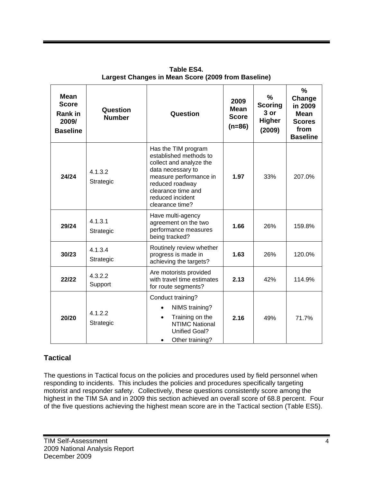<span id="page-8-1"></span>

| <b>Mean</b><br><b>Score</b><br><b>Rank in</b><br>2009/<br><b>Baseline</b> | Question<br><b>Number</b> | Question                                                                                                                                                                                                | 2009<br><b>Mean</b><br><b>Score</b><br>$(n=86)$ | %<br><b>Scoring</b><br>$3$ or<br><b>Higher</b><br>(2009) | $\frac{9}{6}$<br>Change<br>in 2009<br><b>Mean</b><br><b>Scores</b><br>from<br><b>Baseline</b> |
|---------------------------------------------------------------------------|---------------------------|---------------------------------------------------------------------------------------------------------------------------------------------------------------------------------------------------------|-------------------------------------------------|----------------------------------------------------------|-----------------------------------------------------------------------------------------------|
| 24/24                                                                     | 4.1.3.2<br>Strategic      | Has the TIM program<br>established methods to<br>collect and analyze the<br>data necessary to<br>measure performance in<br>reduced roadway<br>clearance time and<br>reduced incident<br>clearance time? | 1.97                                            | 33%                                                      | 207.0%                                                                                        |
| 29/24                                                                     | 4.1.3.1<br>Strategic      | Have multi-agency<br>agreement on the two<br>performance measures<br>being tracked?                                                                                                                     | 1.66                                            | 26%                                                      | 159.8%                                                                                        |
| 30/23                                                                     | 4.1.3.4<br>Strategic      | Routinely review whether<br>progress is made in<br>achieving the targets?                                                                                                                               | 1.63                                            | 26%                                                      | 120.0%                                                                                        |
| 22/22                                                                     | 4.3.2.2<br>Support        | Are motorists provided<br>with travel time estimates<br>for route segments?                                                                                                                             | 2.13                                            | 42%                                                      | 114.9%                                                                                        |
| 20/20                                                                     | 4.1.2.2<br>Strategic      | Conduct training?<br>NIMS training?<br>Training on the<br><b>NTIMC National</b><br><b>Unified Goal?</b><br>Other training?<br>$\bullet$                                                                 | 2.16                                            | 49%                                                      | 71.7%                                                                                         |

**Table ES4. Largest Changes in Mean Score (2009 from Baseline)** 

## <span id="page-8-0"></span>**Tactical**

The questions in Tactical focus on the policies and procedures used by field personnel when responding to incidents. This includes the policies and procedures specifically targeting motorist and responder safety. Collectively, these questions consistently score among the highest in the TIM SA and in 2009 this section achieved an overall score of 68.8 percent. Four of the five questions achieving the highest mean score are in the Tactical section (Table ES5).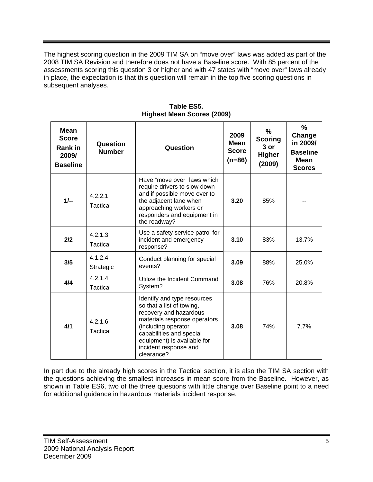The highest scoring question in the 2009 TIM SA on "move over" laws was added as part of the 2008 TIM SA Revision and therefore does not have a Baseline score. With 85 percent of the assessments scoring this question 3 or higher and with 47 states with "move over" laws already in place, the expectation is that this question will remain in the top five scoring questions in subsequent analyses.

<span id="page-9-0"></span>

| <b>Mean</b><br><b>Score</b><br>Rank in<br>2009/<br><b>Baseline</b> | Question<br><b>Number</b> | Question                                                                                                                                                                                                                                    | 2009<br><b>Mean</b><br><b>Score</b><br>$(n=86)$ | $\%$<br><b>Scoring</b><br>$3$ or<br><b>Higher</b><br>(2009) | $\frac{9}{6}$<br>Change<br>in 2009/<br><b>Baseline</b><br><b>Mean</b><br><b>Scores</b> |
|--------------------------------------------------------------------|---------------------------|---------------------------------------------------------------------------------------------------------------------------------------------------------------------------------------------------------------------------------------------|-------------------------------------------------|-------------------------------------------------------------|----------------------------------------------------------------------------------------|
| $1/-$                                                              | 4221<br>Tactical          | Have "move over" laws which<br>require drivers to slow down<br>and if possible move over to<br>the adjacent lane when<br>approaching workers or<br>responders and equipment in<br>the roadway?                                              | 3.20                                            | 85%                                                         |                                                                                        |
| 2/2                                                                | 4.2.1.3<br>Tactical       | Use a safety service patrol for<br>incident and emergency<br>response?                                                                                                                                                                      | 3.10                                            | 83%                                                         | 13.7%                                                                                  |
| 3/5                                                                | 4.1.2.4<br>Strategic      | Conduct planning for special<br>events?                                                                                                                                                                                                     | 3.09                                            | 88%                                                         | 25.0%                                                                                  |
| 4/4                                                                | 4.2.1.4<br>Tactical       | Utilize the Incident Command<br>System?                                                                                                                                                                                                     | 3.08                                            | 76%                                                         | 20.8%                                                                                  |
| 4/1                                                                | 4.2.1.6<br>Tactical       | Identify and type resources<br>so that a list of towing,<br>recovery and hazardous<br>materials response operators<br>(including operator<br>capabilities and special<br>equipment) is available for<br>incident response and<br>clearance? | 3.08                                            | 74%                                                         | 7.7%                                                                                   |

**Table ES5. Highest Mean Scores (2009)** 

In part due to the already high scores in the Tactical section, it is also the TIM SA section with the questions achieving the smallest increases in mean score from the Baseline. However, as shown in Table ES6, two of the three questions with little change over Baseline point to a need for additional guidance in hazardous materials incident response.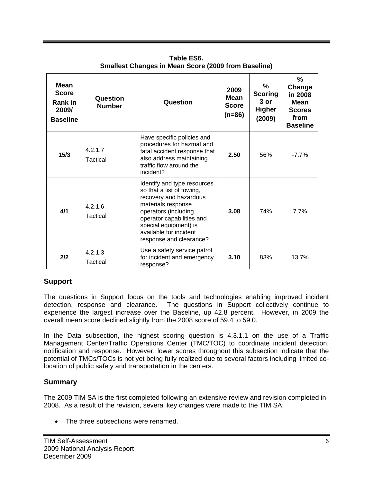**Table ES6. Smallest Changes in Mean Score (2009 from Baseline)** 

<span id="page-10-2"></span>

| Mean<br><b>Score</b><br>Rank in<br>2009/<br><b>Baseline</b> | Question<br><b>Number</b> | Question                                                                                                                                                                                                                                    | 2009<br><b>Mean</b><br><b>Score</b><br>$(n=86)$ | ℅<br><b>Scoring</b><br>$3$ or<br><b>Higher</b><br>(2009) | ℅<br>Change<br>in 2008<br>Mean<br><b>Scores</b><br>from<br><b>Baseline</b> |
|-------------------------------------------------------------|---------------------------|---------------------------------------------------------------------------------------------------------------------------------------------------------------------------------------------------------------------------------------------|-------------------------------------------------|----------------------------------------------------------|----------------------------------------------------------------------------|
| 15/3                                                        | 4.2.1.7<br>Tactical       | Have specific policies and<br>procedures for hazmat and<br>fatal accident response that<br>also address maintaining<br>traffic flow around the<br>incident?                                                                                 | 2.50                                            | 56%                                                      | $-7.7\%$                                                                   |
| 4/1                                                         | 4.2.1.6<br>Tactical       | Identify and type resources<br>so that a list of towing,<br>recovery and hazardous<br>materials response<br>operators (including<br>operator capabilities and<br>special equipment) is<br>available for incident<br>response and clearance? | 3.08                                            | 74%                                                      | 7.7%                                                                       |
| 2/2                                                         | 4.2.1.3<br>Tactical       | Use a safety service patrol<br>for incident and emergency<br>response?                                                                                                                                                                      | 3.10                                            | 83%                                                      | 13.7%                                                                      |

## <span id="page-10-0"></span>**Support**

The questions in Support focus on the tools and technologies enabling improved incident detection, response and clearance. The questions in Support collectively continue to experience the largest increase over the Baseline, up 42.8 percent. However, in 2009 the overall mean score declined slightly from the 2008 score of 59.4 to 59.0.

In the Data subsection, the highest scoring question is 4.3.1.1 on the use of a Traffic Management Center/Traffic Operations Center (TMC/TOC) to coordinate incident detection, notification and response. However, lower scores throughout this subsection indicate that the potential of TMCs/TOCs is not yet being fully realized due to several factors including limited colocation of public safety and transportation in the centers.

### <span id="page-10-1"></span>**Summary**

The 2009 TIM SA is the first completed following an extensive review and revision completed in 2008. As a result of the revision, several key changes were made to the TIM SA:

• The three subsections were renamed.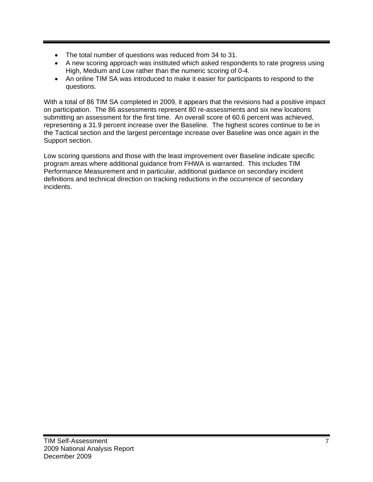- The total number of questions was reduced from 34 to 31.
- A new scoring approach was instituted which asked respondents to rate progress using High, Medium and Low rather than the numeric scoring of 0-4.
- An online TIM SA was introduced to make it easier for participants to respond to the questions.

With a total of 86 TIM SA completed in 2009, it appears that the revisions had a positive impact on participation. The 86 assessments represent 80 re-assessments and six new locations submitting an assessment for the first time. An overall score of 60.6 percent was achieved, representing a 31.9 percent increase over the Baseline. The highest scores continue to be in the Tactical section and the largest percentage increase over Baseline was once again in the Support section.

Low scoring questions and those with the least improvement over Baseline indicate specific program areas where additional guidance from FHWA is warranted. This includes TIM Performance Measurement and in particular, additional guidance on secondary incident definitions and technical direction on tracking reductions in the occurrence of secondary incidents.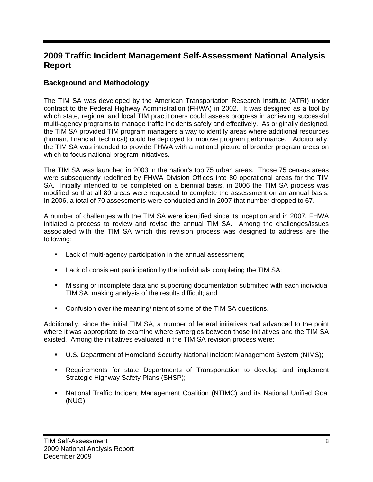## <span id="page-12-0"></span>**2009 Traffic Incident Management Self-Assessment National Analysis Report**

## <span id="page-12-1"></span>**Background and Methodology**

The TIM SA was developed by the American Transportation Research Institute (ATRI) under contract to the Federal Highway Administration (FHWA) in 2002. It was designed as a tool by which state, regional and local TIM practitioners could assess progress in achieving successful multi-agency programs to manage traffic incidents safely and effectively. As originally designed, the TIM SA provided TIM program managers a way to identify areas where additional resources (human, financial, technical) could be deployed to improve program performance. Additionally, the TIM SA was intended to provide FHWA with a national picture of broader program areas on which to focus national program initiatives.

The TIM SA was launched in 2003 in the nation's top 75 urban areas. Those 75 census areas were subsequently redefined by FHWA Division Offices into 80 operational areas for the TIM SA. Initially intended to be completed on a biennial basis, in 2006 the TIM SA process was modified so that all 80 areas were requested to complete the assessment on an annual basis. In 2006, a total of 70 assessments were conducted and in 2007 that number dropped to 67.

A number of challenges with the TIM SA were identified since its inception and in 2007, FHWA initiated a process to review and revise the annual TIM SA. Among the challenges/issues associated with the TIM SA which this revision process was designed to address are the following:

- **Lack of multi-agency participation in the annual assessment;**
- **Lack of consistent participation by the individuals completing the TIM SA;**
- Missing or incomplete data and supporting documentation submitted with each individual TIM SA, making analysis of the results difficult; and
- **Confusion over the meaning/intent of some of the TIM SA questions.**

Additionally, since the initial TIM SA, a number of federal initiatives had advanced to the point where it was appropriate to examine where synergies between those initiatives and the TIM SA existed. Among the initiatives evaluated in the TIM SA revision process were:

- U.S. Department of Homeland Security National Incident Management System (NIMS);
- Requirements for state Departments of Transportation to develop and implement Strategic Highway Safety Plans (SHSP);
- National Traffic Incident Management Coalition (NTIMC) and its National Unified Goal (NUG);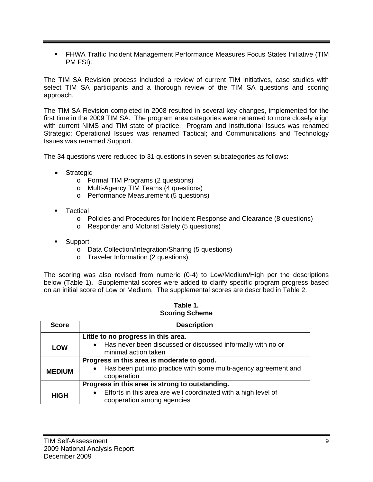FHWA Traffic Incident Management Performance Measures Focus States Initiative (TIM PM FSI).

The TIM SA Revision process included a review of current TIM initiatives, case studies with select TIM SA participants and a thorough review of the TIM SA questions and scoring approach.

The TIM SA Revision completed in 2008 resulted in several key changes, implemented for the first time in the 2009 TIM SA. The program area categories were renamed to more closely align with current NIMS and TIM state of practice. Program and Institutional Issues was renamed Strategic; Operational Issues was renamed Tactical; and Communications and Technology Issues was renamed Support.

The 34 questions were reduced to 31 questions in seven subcategories as follows:

- Strategic
	- o Formal TIM Programs (2 questions)
	- o Multi-Agency TIM Teams (4 questions)
	- o Performance Measurement (5 questions)
- Tactical
	- o Policies and Procedures for Incident Response and Clearance (8 questions)
	- o Responder and Motorist Safety (5 questions)
- **Support** 
	- o Data Collection/Integration/Sharing (5 questions)
	- o Traveler Information (2 questions)

The scoring was also revised from numeric (0-4) to Low/Medium/High per the descriptions below (Table 1). Supplemental scores were added to clarify specific program progress based on an initial score of Low or Medium. The supplemental scores are described in Table 2.

<span id="page-13-0"></span>

| <b>Score</b>  | <b>Description</b>                                                                                                                              |
|---------------|-------------------------------------------------------------------------------------------------------------------------------------------------|
| <b>LOW</b>    | Little to no progress in this area.<br>Has never been discussed or discussed informally with no or<br>minimal action taken                      |
| <b>MEDIUM</b> | Progress in this area is moderate to good.<br>Has been put into practice with some multi-agency agreement and<br>cooperation                    |
| <b>HIGH</b>   | Progress in this area is strong to outstanding.<br>Efforts in this area are well coordinated with a high level of<br>cooperation among agencies |

#### **Table 1. Scoring Scheme**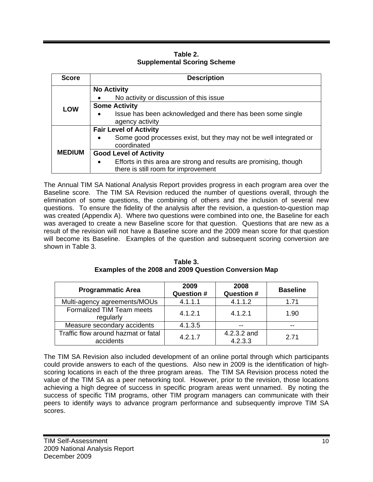#### **Table 2. Supplemental Scoring Scheme**

<span id="page-14-0"></span>

| <b>Score</b>                                                                   | <b>Description</b>                                                             |  |  |  |  |  |
|--------------------------------------------------------------------------------|--------------------------------------------------------------------------------|--|--|--|--|--|
|                                                                                | <b>No Activity</b>                                                             |  |  |  |  |  |
|                                                                                | No activity or discussion of this issue                                        |  |  |  |  |  |
| LOW                                                                            | <b>Some Activity</b>                                                           |  |  |  |  |  |
|                                                                                | Issue has been acknowledged and there has been some single                     |  |  |  |  |  |
| agency activity                                                                |                                                                                |  |  |  |  |  |
|                                                                                | <b>Fair Level of Activity</b>                                                  |  |  |  |  |  |
|                                                                                | Some good processes exist, but they may not be well integrated or<br>$\bullet$ |  |  |  |  |  |
|                                                                                | coordinated                                                                    |  |  |  |  |  |
| <b>MEDIUM</b>                                                                  | <b>Good Level of Activity</b>                                                  |  |  |  |  |  |
| Efforts in this area are strong and results are promising, though<br>$\bullet$ |                                                                                |  |  |  |  |  |
| there is still room for improvement                                            |                                                                                |  |  |  |  |  |

The Annual TIM SA National Analysis Report provides progress in each program area over the Baseline score. The TIM SA Revision reduced the number of questions overall, through the elimination of some questions, the combining of others and the inclusion of several new questions. To ensure the fidelity of the analysis after the revision, a question-to-question map was created (Appendix A). Where two questions were combined into one, the Baseline for each was averaged to create a new Baseline score for that question. Questions that are new as a result of the revision will not have a Baseline score and the 2009 mean score for that question will become its Baseline. Examples of the question and subsequent scoring conversion are shown in Table 3.

<span id="page-14-1"></span>

| <b>Programmatic Area</b>                         | 2009<br><b>Question #</b> | 2008<br><b>Question #</b> | <b>Baseline</b> |
|--------------------------------------------------|---------------------------|---------------------------|-----------------|
| Multi-agency agreements/MOUs                     | 4.1.1.1                   | 4.1.1.2                   | 1.71            |
| Formalized TIM Team meets<br>regularly           | 4.1.2.1                   | 4.1.2.1                   | 1.90            |
| Measure secondary accidents                      | 4.1.3.5                   |                           | --              |
| Traffic flow around hazmat or fatal<br>accidents | 4217                      | 4.2.3.2 and<br>4.2.3.3    | 2.71            |

**Table 3. Examples of the 2008 and 2009 Question Conversion Map** 

The TIM SA Revision also included development of an online portal through which participants could provide answers to each of the questions. Also new in 2009 is the identification of highscoring locations in each of the three program areas. The TIM SA Revision process noted the value of the TIM SA as a peer networking tool. However, prior to the revision, those locations achieving a high degree of success in specific program areas went unnamed. By noting the success of specific TIM programs, other TIM program managers can communicate with their peers to identify ways to advance program performance and subsequently improve TIM SA scores.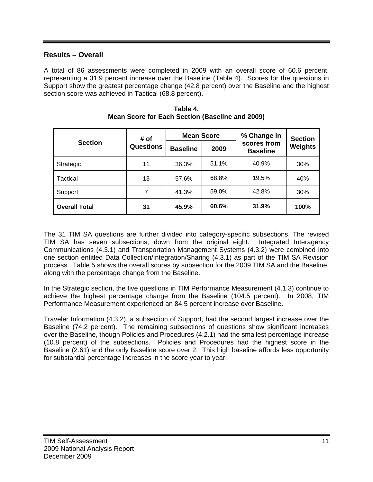### <span id="page-15-0"></span>**Results – Overall**

A total of 86 assessments were completed in 2009 with an overall score of 60.6 percent, representing a 31.9 percent increase over the Baseline (Table 4). Scores for the questions in Support show the greatest percentage change (42.8 percent) over the Baseline and the highest section score was achieved in Tactical (68.8 percent).

<span id="page-15-1"></span>

|                      | # of             | <b>Mean Score</b> |       | % Change in                    | <b>Section</b> |  |
|----------------------|------------------|-------------------|-------|--------------------------------|----------------|--|
| <b>Section</b>       | <b>Questions</b> | <b>Baseline</b>   | 2009  | scores from<br><b>Baseline</b> | Weights        |  |
| Strategic            | 11               | 36.3%             | 51.1% | 40.9%                          | 30%            |  |
| Tactical             | 13               | 57.6%             | 68.8% | 19.5%                          | 40%            |  |
| Support              | 7                | 41.3%             | 59.0% | 42.8%                          | 30%            |  |
| <b>Overall Total</b> | 31               | 45.9%             | 60.6% | 31.9%                          | 100%           |  |

| Table 4.                                        |
|-------------------------------------------------|
| Mean Score for Each Section (Baseline and 2009) |

The 31 TIM SA questions are further divided into category-specific subsections. The revised TIM SA has seven subsections, down from the original eight. Integrated Interagency Communications (4.3.1) and Transportation Management Systems (4.3.2) were combined into one section entitled Data Collection/Integration/Sharing (4.3.1) as part of the TIM SA Revision process. Table 5 shows the overall scores by subsection for the 2009 TIM SA and the Baseline, along with the percentage change from the Baseline.

In the Strategic section, the five questions in TIM Performance Measurement (4.1.3) continue to achieve the highest percentage change from the Baseline (104.5 percent). In 2008, TIM Performance Measurement experienced an 84.5 percent increase over Baseline.

Traveler Information (4.3.2), a subsection of Support, had the second largest increase over the Baseline (74.2 percent). The remaining subsections of questions show significant increases over the Baseline, though Policies and Procedures (4.2.1) had the smallest percentage increase (10.8 percent) of the subsections. Policies and Procedures had the highest score in the Baseline (2.61) and the only Baseline score over 2. This high baseline affords less opportunity for substantial percentage increases in the score year to year.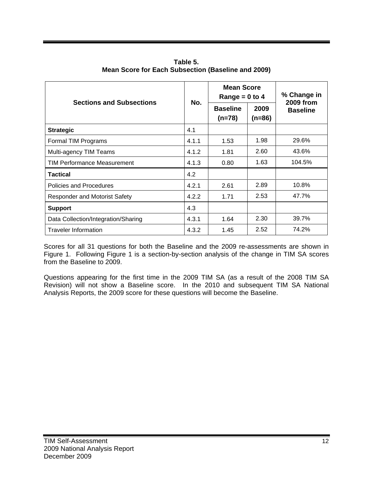<span id="page-16-0"></span>

| <b>Sections and Subsections</b>      | No.   | <b>Mean Score</b><br>Range = $0$ to 4 | % Change in<br><b>2009 from</b> |                 |
|--------------------------------------|-------|---------------------------------------|---------------------------------|-----------------|
|                                      |       | <b>Baseline</b><br>$(n=78)$           | 2009<br>$(n=86)$                | <b>Baseline</b> |
| <b>Strategic</b>                     | 4.1   |                                       |                                 |                 |
| Formal TIM Programs                  | 4.1.1 | 1.53                                  | 1.98                            | 29.6%           |
| Multi-agency TIM Teams               | 4.1.2 | 1.81                                  | 2.60                            | 43.6%           |
| <b>TIM Performance Measurement</b>   | 4.1.3 | 0.80                                  | 1.63                            | 104.5%          |
| <b>Tactical</b>                      | 4.2   |                                       |                                 |                 |
| Policies and Procedures              | 4.2.1 | 2.61                                  | 2.89                            | 10.8%           |
| <b>Responder and Motorist Safety</b> | 4.2.2 | 1.71                                  | 2.53                            | 47.7%           |
| <b>Support</b>                       | 4.3   |                                       |                                 |                 |
| Data Collection/Integration/Sharing  | 4.3.1 | 1.64                                  | 2.30                            | 39.7%           |
| <b>Traveler Information</b>          | 4.3.2 | 1.45                                  | 2.52                            | 74.2%           |

**Table 5. Mean Score for Each Subsection (Baseline and 2009)** 

Scores for all 31 questions for both the Baseline and the 2009 re-assessments are shown in Figure 1. Following Figure 1 is a section-by-section analysis of the change in TIM SA scores from the Baseline to 2009.

Questions appearing for the first time in the 2009 TIM SA (as a result of the 2008 TIM SA Revision) will not show a Baseline score. In the 2010 and subsequent TIM SA National Analysis Reports, the 2009 score for these questions will become the Baseline.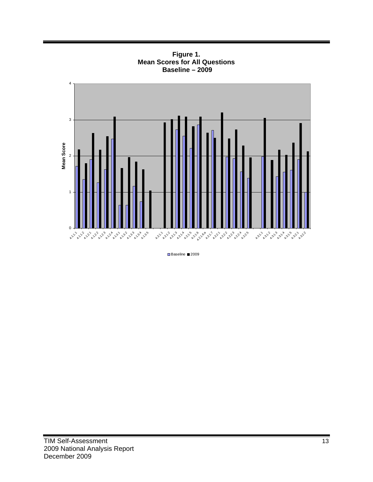<span id="page-17-0"></span>

**Figure 1. Mean Scores for All Questions Baseline – 2009** 

Baseline 2009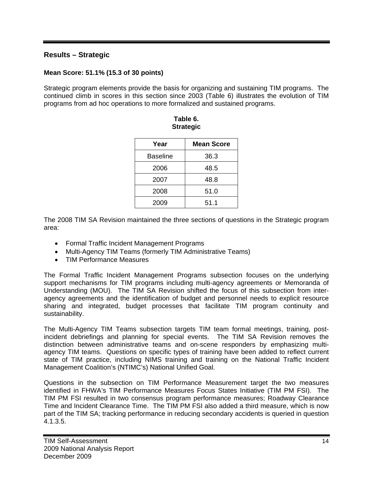## <span id="page-18-0"></span>**Results – Strategic**

#### **Mean Score: 51.1% (15.3 of 30 points)**

<span id="page-18-1"></span>Strategic program elements provide the basis for organizing and sustaining TIM programs. The continued climb in scores in this section since 2003 (Table 6) illustrates the evolution of TIM programs from ad hoc operations to more formalized and sustained programs.

| Year     | <b>Mean Score</b> |
|----------|-------------------|
| Baseline | 36.3              |
| 2006     | 48.5              |
| 2007     | 48.8              |
| 2008     | 51.0              |
| 2009     | 51.1              |

| Table 6.         |
|------------------|
| <b>Strategic</b> |

The 2008 TIM SA Revision maintained the three sections of questions in the Strategic program area:

- Formal Traffic Incident Management Programs
- Multi-Agency TIM Teams (formerly TIM Administrative Teams)
- TIM Performance Measures

The Formal Traffic Incident Management Programs subsection focuses on the underlying support mechanisms for TIM programs including multi-agency agreements or Memoranda of Understanding (MOU). The TIM SA Revision shifted the focus of this subsection from interagency agreements and the identification of budget and personnel needs to explicit resource sharing and integrated, budget processes that facilitate TIM program continuity and sustainability.

The Multi-Agency TIM Teams subsection targets TIM team formal meetings, training, postincident debriefings and planning for special events. The TIM SA Revision removes the distinction between administrative teams and on-scene responders by emphasizing multiagency TIM teams. Questions on specific types of training have been added to reflect current state of TIM practice, including NIMS training and training on the National Traffic Incident Management Coalition's (NTIMC's) National Unified Goal.

Questions in the subsection on TIM Performance Measurement target the two measures identified in FHWA's TIM Performance Measures Focus States Initiative (TIM PM FSI). The TIM PM FSI resulted in two consensus program performance measures; Roadway Clearance Time and Incident Clearance Time. The TIM PM FSI also added a third measure, which is now part of the TIM SA; tracking performance in reducing secondary accidents is queried in question 4.1.3.5.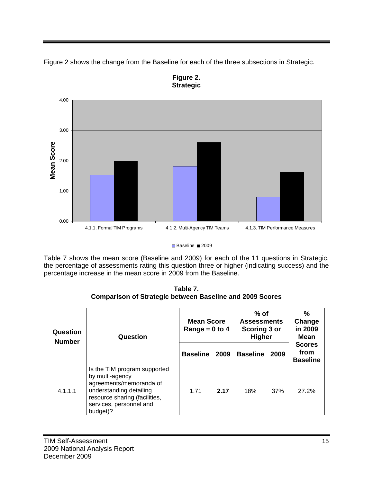Figure 2 shows the change from the Baseline for each of the three subsections in Strategic.

<span id="page-19-0"></span>



Baseline 2009

Table 7 shows the mean score (Baseline and 2009) for each of the 11 questions in Strategic, the percentage of assessments rating this question three or higher (indicating success) and the percentage increase in the mean score in 2009 from the Baseline.

<span id="page-19-1"></span>

| Question<br><b>Number</b> | Question                                                                                                                                                                      | <b>Mean Score</b><br>Range = $0$ to 4 |      | $%$ of<br><b>Assessments</b><br>Scoring 3 or<br><b>Higher</b> |      | %<br>Change<br>in 2009<br>Mean           |
|---------------------------|-------------------------------------------------------------------------------------------------------------------------------------------------------------------------------|---------------------------------------|------|---------------------------------------------------------------|------|------------------------------------------|
|                           |                                                                                                                                                                               | <b>Baseline</b>                       | 2009 | <b>Baseline</b>                                               | 2009 | <b>Scores</b><br>from<br><b>Baseline</b> |
| 4.1.1.1                   | Is the TIM program supported<br>by multi-agency<br>agreements/memoranda of<br>understanding detailing<br>resource sharing (facilities,<br>services, personnel and<br>budget)? | 1.71                                  | 2.17 | 18%                                                           | 37%  | 27.2%                                    |

**Table 7. Comparison of Strategic between Baseline and 2009 Scores**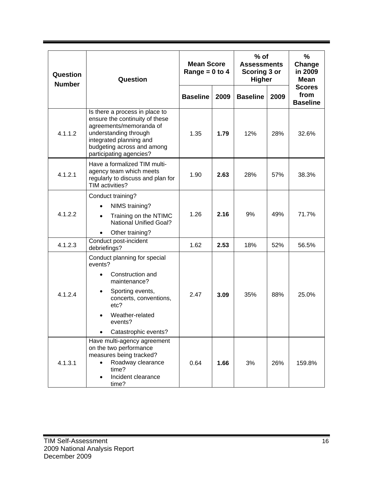| Question<br><b>Number</b> | Question                                                                                                                                                                                                          | <b>Mean Score</b><br>Range = $0$ to 4 |      | $%$ of<br><b>Assessments</b><br>Scoring 3 or<br><b>Higher</b> |      | $\frac{9}{6}$<br>Change<br>in 2009<br><b>Mean</b><br><b>Scores</b> |  |
|---------------------------|-------------------------------------------------------------------------------------------------------------------------------------------------------------------------------------------------------------------|---------------------------------------|------|---------------------------------------------------------------|------|--------------------------------------------------------------------|--|
|                           |                                                                                                                                                                                                                   | <b>Baseline</b>                       | 2009 | <b>Baseline</b>                                               | 2009 | from<br><b>Baseline</b>                                            |  |
| 4.1.1.2                   | Is there a process in place to<br>ensure the continuity of these<br>agreements/memoranda of<br>understanding through<br>integrated planning and<br>budgeting across and among<br>participating agencies?          | 1.35                                  | 1.79 | 12%                                                           | 28%  | 32.6%                                                              |  |
| 4.1.2.1                   | Have a formalized TIM multi-<br>agency team which meets<br>regularly to discuss and plan for<br>TIM activities?                                                                                                   | 1.90                                  | 2.63 | 28%                                                           | 57%  | 38.3%                                                              |  |
| 4.1.2.2                   | Conduct training?<br>NIMS training?<br>Training on the NTIMC<br>$\bullet$<br><b>National Unified Goal?</b><br>Other training?                                                                                     | 1.26                                  | 2.16 | 9%                                                            | 49%  | 71.7%                                                              |  |
| 4.1.2.3                   | Conduct post-incident<br>debriefings?                                                                                                                                                                             | 1.62                                  | 2.53 | 18%                                                           | 52%  | 56.5%                                                              |  |
| 4.1.2.4                   | Conduct planning for special<br>events?<br>Construction and<br>$\bullet$<br>maintenance?<br>Sporting events,<br>$\bullet$<br>concerts, conventions,<br>etc?<br>Weather-related<br>events?<br>Catastrophic events? | 2.47                                  | 3.09 | 35%                                                           | 88%  | 25.0%                                                              |  |
| 4.1.3.1                   | Have multi-agency agreement<br>on the two performance<br>measures being tracked?<br>Roadway clearance<br>$\bullet$<br>time?<br>Incident clearance<br>$\bullet$<br>time?                                           | 0.64                                  | 1.66 | 3%                                                            | 26%  | 159.8%                                                             |  |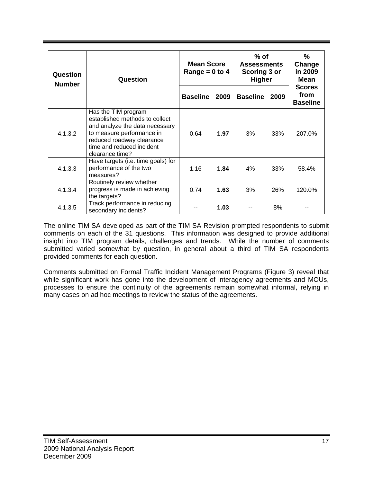| Question<br><b>Number</b> | Question                                                                                                                                                                                          | <b>Mean Score</b><br>Range = $0$ to 4 |      | $%$ of<br><b>Assessments</b><br>Scoring 3 or<br><b>Higher</b> |      | %<br>Change<br>in 2009<br>Mean           |
|---------------------------|---------------------------------------------------------------------------------------------------------------------------------------------------------------------------------------------------|---------------------------------------|------|---------------------------------------------------------------|------|------------------------------------------|
|                           |                                                                                                                                                                                                   | <b>Baseline</b>                       | 2009 | <b>Baseline</b>                                               | 2009 | <b>Scores</b><br>from<br><b>Baseline</b> |
| 4.1.3.2                   | Has the TIM program<br>established methods to collect<br>and analyze the data necessary<br>to measure performance in<br>reduced roadway clearance<br>time and reduced incident<br>clearance time? | 0.64                                  | 1.97 | 3%                                                            | 33%  | 207.0%                                   |
| 4.1.3.3                   | Have targets (i.e. time goals) for<br>performance of the two<br>measures?                                                                                                                         | 1.16                                  | 1.84 | 4%                                                            | 33%  | 58.4%                                    |
| 4.1.3.4                   | Routinely review whether<br>progress is made in achieving<br>the targets?                                                                                                                         | 0.74                                  | 1.63 | 3%                                                            | 26%  | 120.0%                                   |
| 4.1.3.5                   | Track performance in reducing<br>secondary incidents?                                                                                                                                             |                                       | 1.03 |                                                               | 8%   |                                          |

The online TIM SA developed as part of the TIM SA Revision prompted respondents to submit comments on each of the 31 questions. This information was designed to provide additional insight into TIM program details, challenges and trends. While the number of comments submitted varied somewhat by question, in general about a third of TIM SA respondents provided comments for each question.

Comments submitted on Formal Traffic Incident Management Programs (Figure 3) reveal that while significant work has gone into the development of interagency agreements and MOUs, processes to ensure the continuity of the agreements remain somewhat informal, relying in many cases on ad hoc meetings to review the status of the agreements.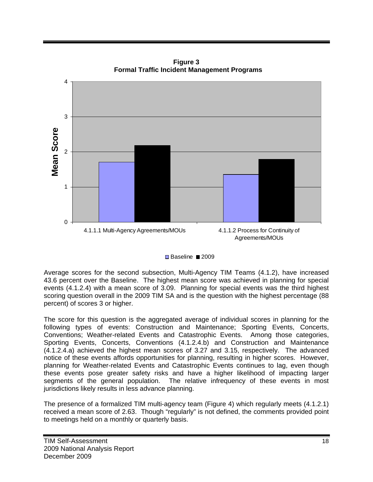<span id="page-22-0"></span>

**Figure 3 Formal Traffic Incident Management Programs** 

■Baseline ■ 2009

Average scores for the second subsection, Multi-Agency TIM Teams (4.1.2), have increased 43.6 percent over the Baseline. The highest mean score was achieved in planning for special events (4.1.2.4) with a mean score of 3.09. Planning for special events was the third highest scoring question overall in the 2009 TIM SA and is the question with the highest percentage (88 percent) of scores 3 or higher.

The score for this question is the aggregated average of individual scores in planning for the following types of events: Construction and Maintenance; Sporting Events, Concerts, Conventions; Weather-related Events and Catastrophic Events. Among those categories, Sporting Events, Concerts, Conventions (4.1.2.4.b) and Construction and Maintenance (4.1.2.4.a) achieved the highest mean scores of 3.27 and 3.15, respectively. The advanced notice of these events affords opportunities for planning, resulting in higher scores. However, planning for Weather-related Events and Catastrophic Events continues to lag, even though these events pose greater safety risks and have a higher likelihood of impacting larger segments of the general population. The relative infrequency of these events in most jurisdictions likely results in less advance planning.

The presence of a formalized TIM multi-agency team (Figure 4) which regularly meets (4.1.2.1) received a mean score of 2.63. Though "regularly" is not defined, the comments provided point to meetings held on a monthly or quarterly basis.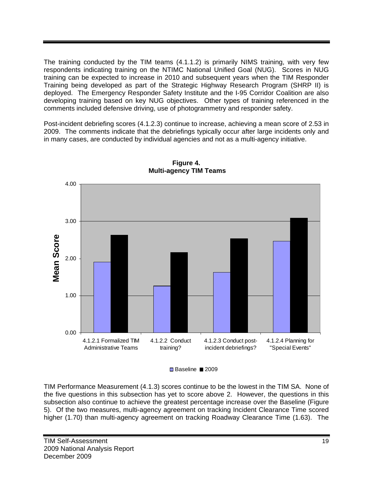The training conducted by the TIM teams (4.1.1.2) is primarily NIMS training, with very few respondents indicating training on the NTIMC National Unified Goal (NUG). Scores in NUG training can be expected to increase in 2010 and subsequent years when the TIM Responder Training being developed as part of the Strategic Highway Research Program (SHRP II) is deployed. The Emergency Responder Safety Institute and the I-95 Corridor Coalition are also developing training based on key NUG objectives. Other types of training referenced in the comments included defensive driving, use of photogrammetry and responder safety.

Post-incident debriefing scores (4.1.2.3) continue to increase, achieving a mean score of 2.53 in 2009. The comments indicate that the debriefings typically occur after large incidents only and in many cases, are conducted by individual agencies and not as a multi-agency initiative.

<span id="page-23-0"></span>

**Figure 4. Multi-agency TIM Teams**

Baseline 2009

TIM Performance Measurement (4.1.3) scores continue to be the lowest in the TIM SA. None of the five questions in this subsection has yet to score above 2. However, the questions in this subsection also continue to achieve the greatest percentage increase over the Baseline (Figure 5). Of the two measures, multi-agency agreement on tracking Incident Clearance Time scored higher (1.70) than multi-agency agreement on tracking Roadway Clearance Time (1.63). The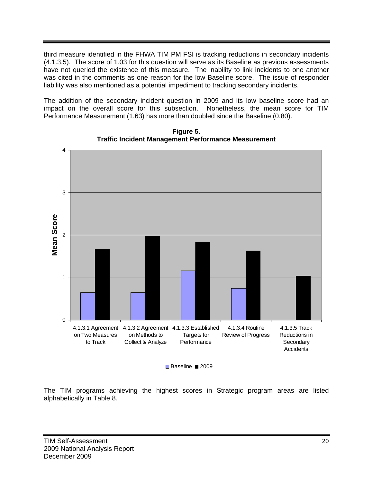third measure identified in the FHWA TIM PM FSI is tracking reductions in secondary incidents (4.1.3.5). The score of 1.03 for this question will serve as its Baseline as previous assessments have not queried the existence of this measure. The inability to link incidents to one another was cited in the comments as one reason for the low Baseline score. The issue of responder liability was also mentioned as a potential impediment to tracking secondary incidents.

The addition of the secondary incident question in 2009 and its low baseline score had an impact on the overall score for this subsection. Nonetheless, the mean score for TIM Performance Measurement (1.63) has more than doubled since the Baseline (0.80).

<span id="page-24-0"></span>

**Figure 5. Traffic Incident Management Performance Measurement** 

Baseline 2009

The TIM programs achieving the highest scores in Strategic program areas are listed alphabetically in Table 8.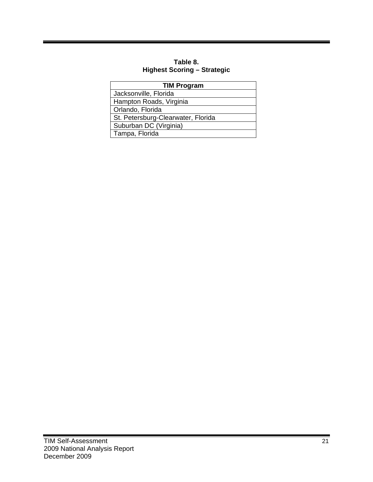#### **Table 8. Highest Scoring – Strategic**

<span id="page-25-0"></span>

| <b>TIM Program</b>                 |
|------------------------------------|
| Jacksonville, Florida              |
| Hampton Roads, Virginia            |
| Orlando, Florida                   |
| St. Petersburg-Clearwater, Florida |
| Suburban DC (Virginia)             |
| Tampa, Florida                     |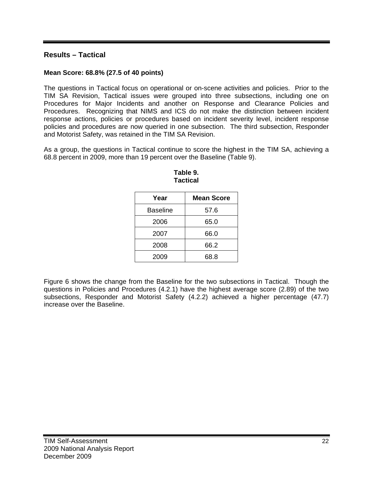### <span id="page-26-0"></span>**Results – Tactical**

#### **Mean Score: 68.8% (27.5 of 40 points)**

The questions in Tactical focus on operational or on-scene activities and policies. Prior to the TIM SA Revision, Tactical issues were grouped into three subsections, including one on Procedures for Major Incidents and another on Response and Clearance Policies and Procedures. Recognizing that NIMS and ICS do not make the distinction between incident response actions, policies or procedures based on incident severity level, incident response policies and procedures are now queried in one subsection. The third subsection, Responder and Motorist Safety, was retained in the TIM SA Revision.

<span id="page-26-1"></span>As a group, the questions in Tactical continue to score the highest in the TIM SA, achieving a 68.8 percent in 2009, more than 19 percent over the Baseline (Table 9).

| Year            | <b>Mean Score</b> |
|-----------------|-------------------|
| <b>Baseline</b> | 57.6              |
| 2006            | 65.0              |
| 2007            | 66.0              |
| 2008            | 66.2              |
| 2009            | 68.8              |

**Table 9. Tactical** 

Figure 6 shows the change from the Baseline for the two subsections in Tactical. Though the questions in Policies and Procedures (4.2.1) have the highest average score (2.89) of the two subsections, Responder and Motorist Safety (4.2.2) achieved a higher percentage (47.7) increase over the Baseline.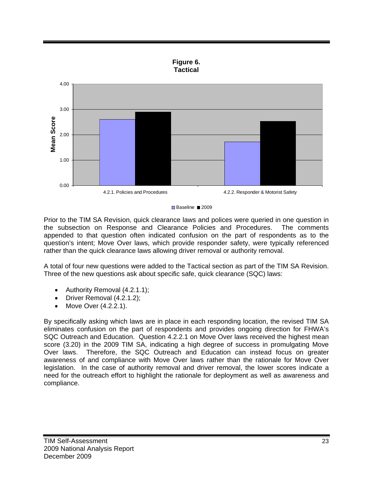

<span id="page-27-0"></span>



Prior to the TIM SA Revision, quick clearance laws and polices were queried in one question in the subsection on Response and Clearance Policies and Procedures. The comments appended to that question often indicated confusion on the part of respondents as to the question's intent; Move Over laws, which provide responder safety, were typically referenced rather than the quick clearance laws allowing driver removal or authority removal.

A total of four new questions were added to the Tactical section as part of the TIM SA Revision. Three of the new questions ask about specific safe, quick clearance (SQC) laws:

- Authority Removal (4.2.1.1);
- Driver Removal (4.2.1.2);
- Move Over (4.2.2.1).

By specifically asking which laws are in place in each responding location, the revised TIM SA eliminates confusion on the part of respondents and provides ongoing direction for FHWA's SQC Outreach and Education. Question 4.2.2.1 on Move Over laws received the highest mean score (3.20) in the 2009 TIM SA, indicating a high degree of success in promulgating Move Over laws. Therefore, the SQC Outreach and Education can instead focus on greater awareness of and compliance with Move Over laws rather than the rationale for Move Over legislation. In the case of authority removal and driver removal, the lower scores indicate a need for the outreach effort to highlight the rationale for deployment as well as awareness and compliance.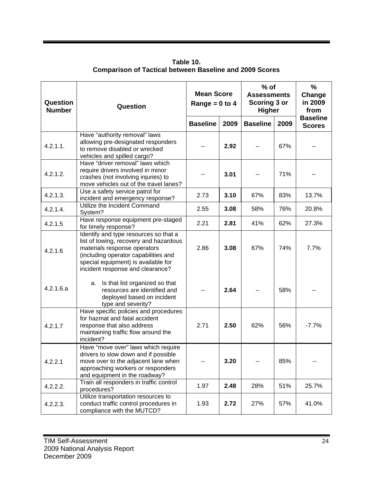<span id="page-28-0"></span>

| Question<br><b>Number</b> | <b>Mean Score</b><br>Range = $0$ to 4<br>Question                                                                                                                                                                                  |                 | $%$ of<br><b>Assessments</b><br>Scoring 3 or<br><b>Higher</b> |                 | $\%$<br>Change<br>in 2009<br>from |                                  |
|---------------------------|------------------------------------------------------------------------------------------------------------------------------------------------------------------------------------------------------------------------------------|-----------------|---------------------------------------------------------------|-----------------|-----------------------------------|----------------------------------|
|                           |                                                                                                                                                                                                                                    | <b>Baseline</b> | 2009                                                          | <b>Baseline</b> | 2009                              | <b>Baseline</b><br><b>Scores</b> |
| 4.2.1.1.                  | Have "authority removal" laws<br>allowing pre-designated responders<br>to remove disabled or wrecked<br>vehicles and spilled cargo?                                                                                                |                 | 2.92                                                          |                 | 67%                               |                                  |
| 4.2.1.2.                  | Have "driver removal" laws which<br>require drivers involved in minor<br>crashes (not involving injuries) to<br>move vehicles out of the travel lanes?                                                                             |                 | 3.01                                                          |                 | 71%                               |                                  |
| 4.2.1.3.                  | Use a safety service patrol for<br>incident and emergency response?                                                                                                                                                                | 2.73            | 3.10                                                          | 67%             | 83%                               | 13.7%                            |
| 4.2.1.4.                  | Utilize the Incident Command<br>System?                                                                                                                                                                                            | 2.55            | 3.08                                                          | 58%             | 76%                               | 20.8%                            |
| 4.2.1.5                   | Have response equipment pre-staged<br>for timely response?                                                                                                                                                                         | 2.21            | 2.81                                                          | 41%             | 62%                               | 27.3%                            |
| 4.2.1.6                   | Identify and type resources so that a<br>list of towing, recovery and hazardous<br>materials response operators<br>(including operator capabilities and<br>special equipment) is available for<br>incident response and clearance? | 2.86            | 3.08                                                          | 67%             | 74%                               | 7.7%                             |
| 4.2.1.6.a                 | Is that list organized so that<br>а.<br>resources are identified and<br>deployed based on incident<br>type and severity?                                                                                                           |                 | 2.64                                                          |                 | 58%                               |                                  |
| 4.2.1.7                   | Have specific policies and procedures<br>for hazmat and fatal accident<br>response that also address<br>maintaining traffic flow around the<br>incident?                                                                           | 2.71            | 2.50                                                          | 62%             | 56%                               | $-7.7%$                          |
| 4.2.2.1                   | Have "move over" laws which require<br>drivers to slow down and if possible<br>move over to the adjacent lane when<br>approaching workers or responders<br>and equipment in the roadway?                                           |                 | 3.20                                                          |                 | 85%                               |                                  |
| 4.2.2.2.                  | Train all responders in traffic control<br>procedures?                                                                                                                                                                             | 1.97            | 2.48                                                          | 28%             | 51%                               | 25.7%                            |
| 4.2.2.3.                  | Utilize transportation resources to<br>conduct traffic control procedures in<br>compliance with the MUTCD?                                                                                                                         | 1.93            | 2.72                                                          | 27%             | 57%                               | 41.0%                            |

**Table 10. Comparison of Tactical between Baseline and 2009 Scores**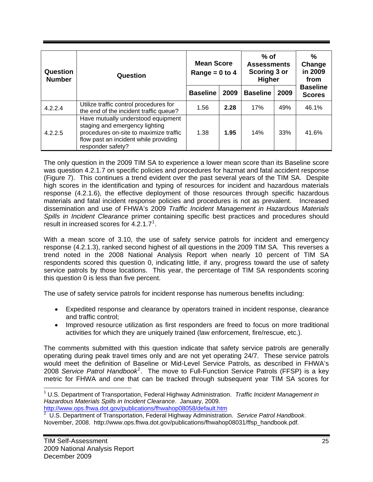| <b>Question</b><br><b>Number</b> | Question                                                                                                                                                                     | <b>Mean Score</b><br>Range = $0$ to 4 |      | $%$ of<br><b>Assessments</b><br>Scoring 3 or<br><b>Higher</b> |      | %<br>Change<br>in 2009<br>from   |  |
|----------------------------------|------------------------------------------------------------------------------------------------------------------------------------------------------------------------------|---------------------------------------|------|---------------------------------------------------------------|------|----------------------------------|--|
|                                  |                                                                                                                                                                              | <b>Baseline</b>                       | 2009 | <b>Baseline</b>                                               | 2009 | <b>Baseline</b><br><b>Scores</b> |  |
| 4.2.2.4                          | Utilize traffic control procedures for<br>the end of the incident traffic queue?                                                                                             | 1.56                                  | 2.28 | 17%                                                           | 49%  | 46.1%                            |  |
| 4.2.2.5                          | Have mutually understood equipment<br>staging and emergency lighting<br>procedures on-site to maximize traffic<br>flow past an incident while providing<br>responder safety? | 1.38                                  | 1.95 | 14%                                                           | 33%  | 41.6%                            |  |

The only question in the 2009 TIM SA to experience a lower mean score than its Baseline score was question 4.2.1.7 on specific policies and procedures for hazmat and fatal accident response (Figure 7). This continues a trend evident over the past several years of the TIM SA. Despite high scores in the identification and typing of resources for incident and hazardous materials response (4.2.1.6), the effective deployment of those resources through specific hazardous materials and fatal incident response policies and procedures is not as prevalent. Increased dissemination and use of FHWA's 2009 *Traffic Incident Management in Hazardous Materials Spills in Incident Clearance* primer containing specific best practices and procedures should result in increased scores for  $4.2.1.7<sup>1</sup>$  $4.2.1.7<sup>1</sup>$  $4.2.1.7<sup>1</sup>$ .

With a mean score of 3.10, the use of safety service patrols for incident and emergency response (4.2.1.3), ranked second highest of all questions in the 2009 TIM SA. This reverses a trend noted in the 2008 National Analysis Report when nearly 10 percent of TIM SA respondents scored this question 0, indicating little, if any, progress toward the use of safety service patrols by those locations. This year, the percentage of TIM SA respondents scoring this question 0 is less than five percent.

The use of safety service patrols for incident response has numerous benefits including:

- Expedited response and clearance by operators trained in incident response, clearance and traffic control;
- Improved resource utilization as first responders are freed to focus on more traditional activities for which they are uniquely trained (law enforcement, fire/rescue, etc.).

The comments submitted with this question indicate that safety service patrols are generally operating during peak travel times only and are not yet operating 24/7. These service patrols would meet the definition of Baseline or Mid-Level Service Patrols, as described in FHWA's [2](#page-29-1)008 Service Patrol Handbook<sup>2</sup>. The move to Full-Function Service Patrols (FFSP) is a key metric for FHWA and one that can be tracked through subsequent year TIM SA scores for

<span id="page-29-0"></span> $\overline{\phantom{a}}$ 1 U.S. Department of Transportation, Federal Highway Administration. *Traffic Incident Management in Hazardous Materials Spills in Incident Clearance*. January, 2009. <http://www.ops.fhwa.dot.gov/publications/fhwahop08058/default.htm><br>2. LLS: Department of Treppectation, Eaderal Highway Administratio

<span id="page-29-1"></span>U.S. Department of Transportation, Federal Highway Administration. *Service Patrol Handbook*. November, 2008. http://www.ops.fhwa.dot.gov/publications/fhwahop08031/ffsp\_handbook.pdf.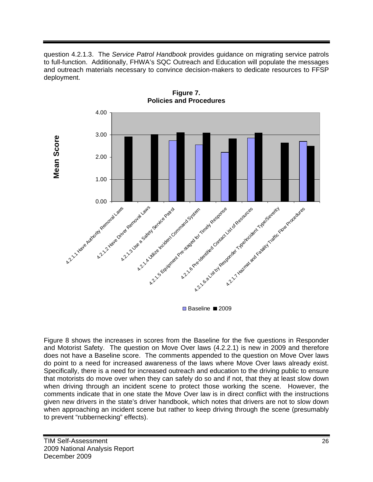question 4.2.1.3. The *Service Patrol Handbook* provides guidance on migrating service patrols to full-function. Additionally, FHWA's SQC Outreach and Education will populate the messages and outreach materials necessary to convince decision-makers to dedicate resources to FFSP deployment.

<span id="page-30-0"></span>

**Figure 7. Policies and Procedures** 

Baseline 2009

Figure 8 shows the increases in scores from the Baseline for the five questions in Responder and Motorist Safety. The question on Move Over laws (4.2.2.1) is new in 2009 and therefore does not have a Baseline score. The comments appended to the question on Move Over laws do point to a need for increased awareness of the laws where Move Over laws already exist. Specifically, there is a need for increased outreach and education to the driving public to ensure that motorists do move over when they can safely do so and if not, that they at least slow down when driving through an incident scene to protect those working the scene. However, the comments indicate that in one state the Move Over law is in direct conflict with the instructions given new drivers in the state's driver handbook, which notes that drivers are not to slow down when approaching an incident scene but rather to keep driving through the scene (presumably to prevent "rubbernecking" effects).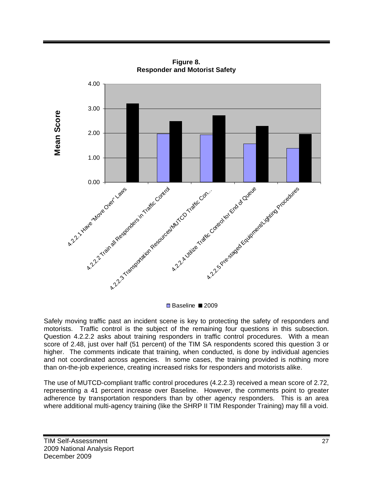<span id="page-31-0"></span>

**Figure 8. Responder and Motorist Safety** 

■Baseline ■2009

Safely moving traffic past an incident scene is key to protecting the safety of responders and motorists. Traffic control is the subject of the remaining four questions in this subsection. Question 4.2.2.2 asks about training responders in traffic control procedures. With a mean score of 2.48, just over half (51 percent) of the TIM SA respondents scored this question 3 or higher. The comments indicate that training, when conducted, is done by individual agencies and not coordinated across agencies. In some cases, the training provided is nothing more than on-the-job experience, creating increased risks for responders and motorists alike.

The use of MUTCD-compliant traffic control procedures (4.2.2.3) received a mean score of 2.72, representing a 41 percent increase over Baseline. However, the comments point to greater adherence by transportation responders than by other agency responders. This is an area where additional multi-agency training (like the SHRP II TIM Responder Training) may fill a void.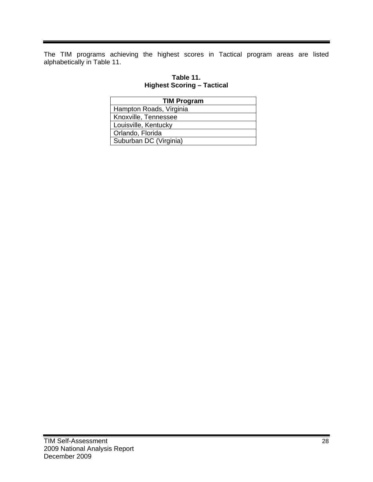<span id="page-32-0"></span>The TIM programs achieving the highest scores in Tactical program areas are listed alphabetically in Table 11.

### **Table 11. Highest Scoring – Tactical**

| <b>TIM Program</b>      |
|-------------------------|
| Hampton Roads, Virginia |
| Knoxville, Tennessee    |
| Louisville, Kentucky    |
| Orlando, Florida        |
| Suburban DC (Virginia)  |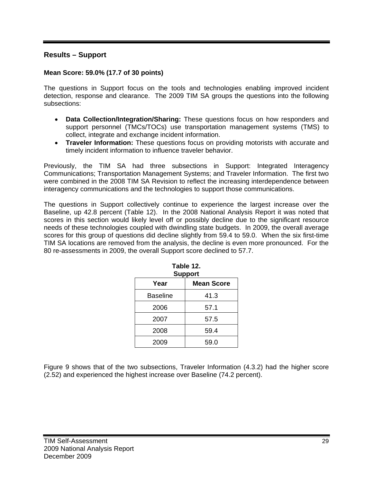### <span id="page-33-0"></span>**Results – Support**

#### **Mean Score: 59.0% (17.7 of 30 points)**

The questions in Support focus on the tools and technologies enabling improved incident detection, response and clearance. The 2009 TIM SA groups the questions into the following subsections:

- **Data Collection/Integration/Sharing:** These questions focus on how responders and support personnel (TMCs/TOCs) use transportation management systems (TMS) to collect, integrate and exchange incident information.
- **Traveler Information:** These questions focus on providing motorists with accurate and timely incident information to influence traveler behavior.

Previously, the TIM SA had three subsections in Support: Integrated Interagency Communications; Transportation Management Systems; and Traveler Information. The first two were combined in the 2008 TIM SA Revision to reflect the increasing interdependence between interagency communications and the technologies to support those communications.

<span id="page-33-1"></span>The questions in Support collectively continue to experience the largest increase over the Baseline, up 42.8 percent (Table 12). In the 2008 National Analysis Report it was noted that scores in this section would likely level off or possibly decline due to the significant resource needs of these technologies coupled with dwindling state budgets. In 2009, the overall average scores for this group of questions did decline slightly from 59.4 to 59.0. When the six first-time TIM SA locations are removed from the analysis, the decline is even more pronounced. For the 80 re-assessments in 2009, the overall Support score declined to 57.7.

**Table 12.** 

| TADIE TZ.<br><b>Support</b> |                   |  |  |  |  |  |
|-----------------------------|-------------------|--|--|--|--|--|
| Year                        | <b>Mean Score</b> |  |  |  |  |  |
| <b>Baseline</b>             | 41.3              |  |  |  |  |  |
| 2006                        | 57.1              |  |  |  |  |  |
| 2007                        | 57.5              |  |  |  |  |  |
| 2008                        | 59.4              |  |  |  |  |  |
| 2009                        | 59.0              |  |  |  |  |  |

Figure 9 shows that of the two subsections, Traveler Information (4.3.2) had the higher score (2.52) and experienced the highest increase over Baseline (74.2 percent).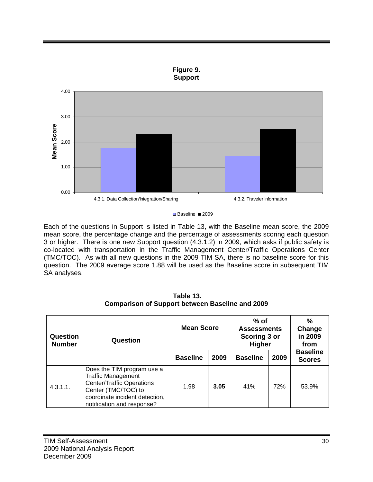<span id="page-34-0"></span>

#### **Figure 9. Support**

#### Baseline 2009

Each of the questions in Support is listed in Table 13, with the Baseline mean score, the 2009 mean score, the percentage change and the percentage of assessments scoring each question 3 or higher. There is one new Support question (4.3.1.2) in 2009, which asks if public safety is co-located with transportation in the Traffic Management Center/Traffic Operations Center (TMC/TOC). As with all new questions in the 2009 TIM SA, there is no baseline score for this question. The 2009 average score 1.88 will be used as the Baseline score in subsequent TIM SA analyses.

<span id="page-34-1"></span>

| Question<br><b>Number</b> | Question                                                                                                                                                                           |                 | <b>Mean Score</b> |                 | $%$ of<br><b>Assessments</b><br>Scoring 3 or<br><b>Higher</b> |                                  |
|---------------------------|------------------------------------------------------------------------------------------------------------------------------------------------------------------------------------|-----------------|-------------------|-----------------|---------------------------------------------------------------|----------------------------------|
|                           |                                                                                                                                                                                    | <b>Baseline</b> | 2009              | <b>Baseline</b> | 2009                                                          | <b>Baseline</b><br><b>Scores</b> |
| 4.3.1.1.                  | Does the TIM program use a<br><b>Traffic Management</b><br><b>Center/Traffic Operations</b><br>Center (TMC/TOC) to<br>coordinate incident detection,<br>notification and response? | 1.98            | 3.05              | 41%             | 72%                                                           | 53.9%                            |

 **Table 13. Comparison of Support between Baseline and 2009**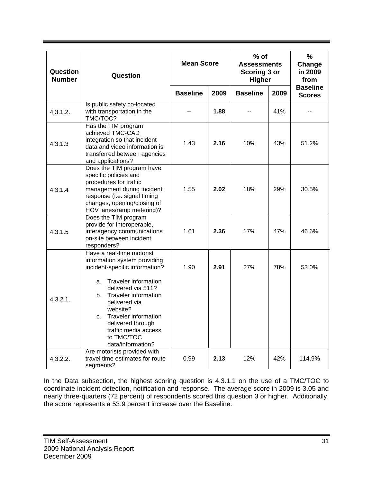| Question<br><b>Number</b> | Question                                                                                                                                                                                                                                                                                                                        |                 | <b>Mean Score</b> |                 | $%$ of<br><b>Assessments</b><br>Scoring 3 or<br><b>Higher</b> |                                  |
|---------------------------|---------------------------------------------------------------------------------------------------------------------------------------------------------------------------------------------------------------------------------------------------------------------------------------------------------------------------------|-----------------|-------------------|-----------------|---------------------------------------------------------------|----------------------------------|
|                           |                                                                                                                                                                                                                                                                                                                                 | <b>Baseline</b> | 2009              | <b>Baseline</b> | 2009                                                          | <b>Baseline</b><br><b>Scores</b> |
| 4.3.1.2.                  | Is public safety co-located<br>with transportation in the<br>TMC/TOC?                                                                                                                                                                                                                                                           |                 | 1.88              |                 | 41%                                                           |                                  |
| 4.3.1.3                   | Has the TIM program<br>achieved TMC-CAD<br>integration so that incident<br>data and video information is<br>transferred between agencies<br>and applications?                                                                                                                                                                   | 1.43            | 2.16              | 10%             | 43%                                                           | 51.2%                            |
| 4.3.1.4                   | Does the TIM program have<br>specific policies and<br>procedures for traffic<br>management during incident<br>response (i.e. signal timing<br>changes, opening/closing of<br>HOV lanes/ramp metering)?                                                                                                                          | 1.55            | 2.02              | 18%             | 29%                                                           | 30.5%                            |
| 4.3.1.5                   | Does the TIM program<br>provide for interoperable,<br>interagency communications<br>on-site between incident<br>responders?                                                                                                                                                                                                     | 1.61            | 2.36              | 17%             | 47%                                                           | 46.6%                            |
| 4.3.2.1.                  | Have a real-time motorist<br>information system providing<br>incident-specific information?<br>Traveler information<br>a.<br>delivered via 511?<br>Traveler information<br>b.<br>delivered via<br>website?<br><b>Traveler information</b><br>C.<br>delivered through<br>traffic media access<br>to TMC/TOC<br>data/information? | 1.90            | 2.91              | 27%             | 78%                                                           | 53.0%                            |
| 4.3.2.2.                  | Are motorists provided with<br>travel time estimates for route<br>segments?                                                                                                                                                                                                                                                     | 0.99            | 2.13              | 12%             | 42%                                                           | 114.9%                           |

In the Data subsection, the highest scoring question is 4.3.1.1 on the use of a TMC/TOC to coordinate incident detection, notification and response. The average score in 2009 is 3.05 and nearly three-quarters (72 percent) of respondents scored this question 3 or higher. Additionally, the score represents a 53.9 percent increase over the Baseline.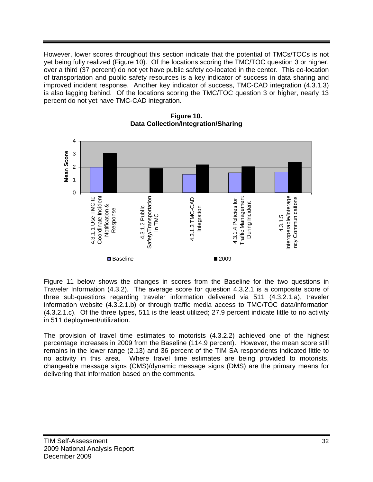However, lower scores throughout this section indicate that the potential of TMCs/TOCs is not yet being fully realized (Figure 10). Of the locations scoring the TMC/TOC question 3 or higher, over a third (37 percent) do not yet have public safety co-located in the center. This co-location of transportation and public safety resources is a key indicator of success in data sharing and improved incident response. Another key indicator of success, TMC-CAD integration (4.3.1.3) is also lagging behind. Of the locations scoring the TMC/TOC question 3 or higher, nearly 13 percent do not yet have TMC-CAD integration.

<span id="page-36-0"></span>

#### **Figure 10. Data Collection/Integration/Sharing**

Figure 11 below shows the changes in scores from the Baseline for the two questions in Traveler Information (4.3.2). The average score for question 4.3.2.1 is a composite score of three sub-questions regarding traveler information delivered via 511 (4.3.2.1.a), traveler information website (4.3.2.1.b) or through traffic media access to TMC/TOC data/information (4.3.2.1.c). Of the three types, 511 is the least utilized; 27.9 percent indicate little to no activity in 511 deployment/utilization.

The provision of travel time estimates to motorists (4.3.2.2) achieved one of the highest percentage increases in 2009 from the Baseline (114.9 percent). However, the mean score still remains in the lower range (2.13) and 36 percent of the TIM SA respondents indicated little to no activity in this area. Where travel time estimates are being provided to motorists, changeable message signs (CMS)/dynamic message signs (DMS) are the primary means for delivering that information based on the comments.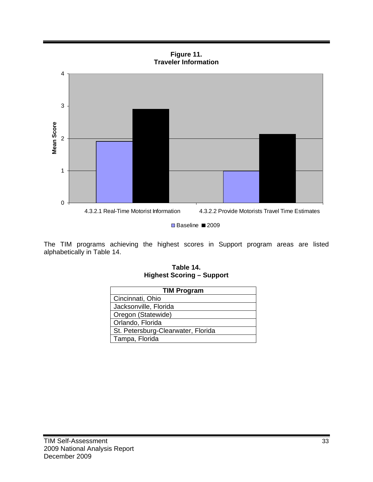#### **Figure 11. Traveler Information**

<span id="page-37-0"></span>

Baseline 2009

<span id="page-37-1"></span>The TIM programs achieving the highest scores in Support program areas are listed alphabetically in Table 14.

**Table 14. Highest Scoring – Support** 

| <b>TIM Program</b>                 |  |  |  |  |
|------------------------------------|--|--|--|--|
| Cincinnati, Ohio                   |  |  |  |  |
| Jacksonville, Florida              |  |  |  |  |
| Oregon (Statewide)                 |  |  |  |  |
| Orlando, Florida                   |  |  |  |  |
| St. Petersburg-Clearwater, Florida |  |  |  |  |
| Tampa, Florida                     |  |  |  |  |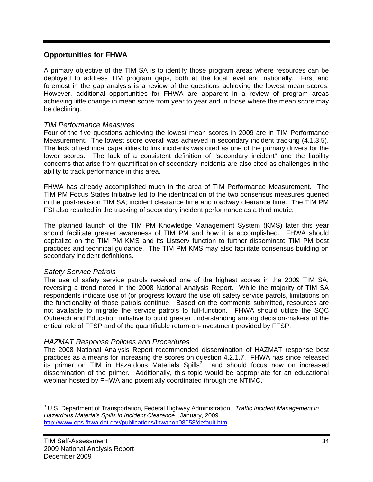#### <span id="page-38-0"></span>**Opportunities for FHWA**

A primary objective of the TIM SA is to identify those program areas where resources can be deployed to address TIM program gaps, both at the local level and nationally. First and foremost in the gap analysis is a review of the questions achieving the lowest mean scores. However, additional opportunities for FHWA are apparent in a review of program areas achieving little change in mean score from year to year and in those where the mean score may be declining.

#### *TIM Performance Measures*

Four of the five questions achieving the lowest mean scores in 2009 are in TIM Performance Measurement. The lowest score overall was achieved in secondary incident tracking (4.1.3.5). The lack of technical capabilities to link incidents was cited as one of the primary drivers for the lower scores. The lack of a consistent definition of "secondary incident" and the liability concerns that arise from quantification of secondary incidents are also cited as challenges in the ability to track performance in this area.

FHWA has already accomplished much in the area of TIM Performance Measurement. The TIM PM Focus States Initiative led to the identification of the two consensus measures queried in the post-revision TIM SA; incident clearance time and roadway clearance time. The TIM PM FSI also resulted in the tracking of secondary incident performance as a third metric.

The planned launch of the TIM PM Knowledge Management System (KMS) later this year should facilitate greater awareness of TIM PM and how it is accomplished. FHWA should capitalize on the TIM PM KMS and its Listserv function to further disseminate TIM PM best practices and technical guidance. The TIM PM KMS may also facilitate consensus building on secondary incident definitions.

#### *Safety Service Patrols*

The use of safety service patrols received one of the highest scores in the 2009 TIM SA, reversing a trend noted in the 2008 National Analysis Report. While the majority of TIM SA respondents indicate use of (or progress toward the use of) safety service patrols, limitations on the functionality of those patrols continue. Based on the comments submitted, resources are not available to migrate the service patrols to full-function. FHWA should utilize the SQC Outreach and Education initiative to build greater understanding among decision-makers of the critical role of FFSP and of the quantifiable return-on-investment provided by FFSP.

#### *HAZMAT Response Policies and Procedures*

The 2008 National Analysis Report recommended dissemination of HAZMAT response best practices as a means for increasing the scores on question 4.2.1.7. FHWA has since released  $\frac{1}{10}$  its primer on TIM in Hazardous Materials Spills<sup>[3](#page-38-1)</sup> and should focus now on increased dissemination of the primer. Additionally, this topic would be appropriate for an educational webinar hosted by FHWA and potentially coordinated through the NTIMC.

-

<span id="page-38-1"></span><sup>3</sup> U.S. Department of Transportation, Federal Highway Administration. *Traffic Incident Management in Hazardous Materials Spills in Incident Clearance*. January, 2009. <http://www.ops.fhwa.dot.gov/publications/fhwahop08058/default.htm>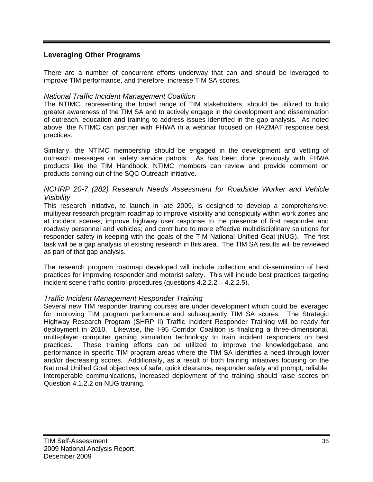#### <span id="page-39-0"></span>**Leveraging Other Programs**

There are a number of concurrent efforts underway that can and should be leveraged to improve TIM performance, and therefore, increase TIM SA scores.

#### *National Traffic Incident Management Coalition*

The NTIMC, representing the broad range of TIM stakeholders, should be utilized to build greater awareness of the TIM SA and to actively engage in the development and dissemination of outreach, education and training to address issues identified in the gap analysis. As noted above, the NTIMC can partner with FHWA in a webinar focused on HAZMAT response best practices.

Similarly, the NTIMC membership should be engaged in the development and vetting of outreach messages on safety service patrols. As has been done previously with FHWA products like the TIM Handbook, NTIMC members can review and provide comment on products coming out of the SQC Outreach initiative.

#### *NCHRP 20-7 (282) Research Needs Assessment for Roadside Worker and Vehicle Visibility*

This research initiative, to launch in late 2009, is designed to develop a comprehensive, multiyear research program roadmap to improve visibility and conspicuity within work zones and at incident scenes; improve highway user response to the presence of first responder and roadway personnel and vehicles; and contribute to more effective multidisciplinary solutions for responder safety in keeping with the goals of the TIM National Unified Goal (NUG). The first task will be a gap analysis of existing research in this area. The TIM SA results will be reviewed as part of that gap analysis.

The research program roadmap developed will include collection and dissemination of best practices for improving responder and motorist safety. This will include best practices targeting incident scene traffic control procedures (questions 4.2.2.2 – 4.2.2.5).

#### *Traffic Incident Management Responder Training*

Several new TIM responder training courses are under development which could be leveraged for improving TIM program performance and subsequently TIM SA scores. The Strategic Highway Research Program (SHRP II) Traffic Incident Responder Training will be ready for deployment in 2010. Likewise, the I-95 Corridor Coalition is finalizing a three-dimensional, multi-player computer gaming simulation technology to train incident responders on best practices. These training efforts can be utilized to improve the knowledgebase and performance in specific TIM program areas where the TIM SA identifies a need through lower and/or decreasing scores. Additionally, as a result of both training initiatives focusing on the National Unified Goal objectives of safe, quick clearance, responder safety and prompt, reliable, interoperable communications, increased deployment of the training should raise scores on Question 4.1.2.2 on NUG training.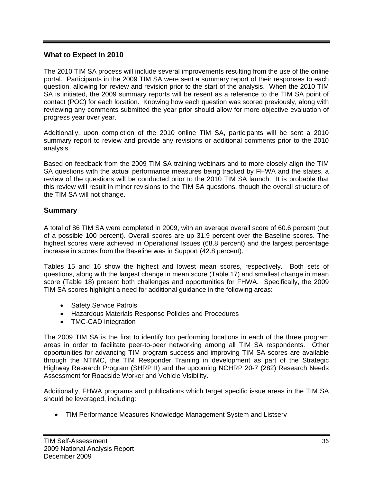#### <span id="page-40-0"></span>**What to Expect in 2010**

The 2010 TIM SA process will include several improvements resulting from the use of the online portal. Participants in the 2009 TIM SA were sent a summary report of their responses to each question, allowing for review and revision prior to the start of the analysis. When the 2010 TIM SA is initiated, the 2009 summary reports will be resent as a reference to the TIM SA point of contact (POC) for each location. Knowing how each question was scored previously, along with reviewing any comments submitted the year prior should allow for more objective evaluation of progress year over year.

Additionally, upon completion of the 2010 online TIM SA, participants will be sent a 2010 summary report to review and provide any revisions or additional comments prior to the 2010 analysis.

Based on feedback from the 2009 TIM SA training webinars and to more closely align the TIM SA questions with the actual performance measures being tracked by FHWA and the states, a review of the questions will be conducted prior to the 2010 TIM SA launch. It is probable that this review will result in minor revisions to the TIM SA questions, though the overall structure of the TIM SA will not change.

### <span id="page-40-1"></span>**Summary**

A total of 86 TIM SA were completed in 2009, with an average overall score of 60.6 percent (out of a possible 100 percent). Overall scores are up 31.9 percent over the Baseline scores. The highest scores were achieved in Operational Issues (68.8 percent) and the largest percentage increase in scores from the Baseline was in Support (42.8 percent).

Tables 15 and 16 show the highest and lowest mean scores, respectively. Both sets of questions, along with the largest change in mean score (Table 17) and smallest change in mean score (Table 18) present both challenges and opportunities for FHWA. Specifically, the 2009 TIM SA scores highlight a need for additional guidance in the following areas:

- Safety Service Patrols
- Hazardous Materials Response Policies and Procedures
- TMC-CAD Integration

The 2009 TIM SA is the first to identify top performing locations in each of the three program areas in order to facilitate peer-to-peer networking among all TIM SA respondents. Other opportunities for advancing TIM program success and improving TIM SA scores are available through the NTIMC, the TIM Responder Training in development as part of the Strategic Highway Research Program (SHRP II) and the upcoming NCHRP 20-7 (282) Research Needs Assessment for Roadside Worker and Vehicle Visibility.

Additionally, FHWA programs and publications which target specific issue areas in the TIM SA should be leveraged, including:

• TIM Performance Measures Knowledge Management System and Listserv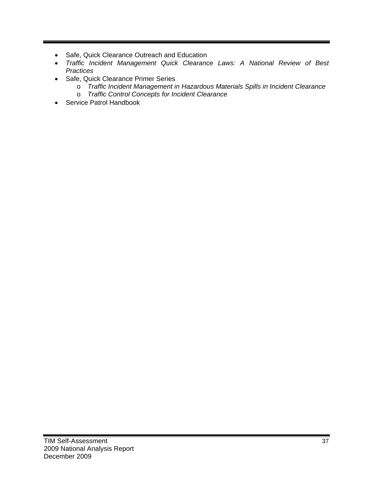- Safe, Quick Clearance Outreach and Education
- *Traffic Incident Management Quick Clearance Laws: A National Review of Best Practices*
- Safe, Quick Clearance Primer Series
	- o *Traffic Incident Management in Hazardous Materials Spills in Incident Clearance*
	- o *Traffic Control Concepts for Incident Clearance*
- Service Patrol Handbook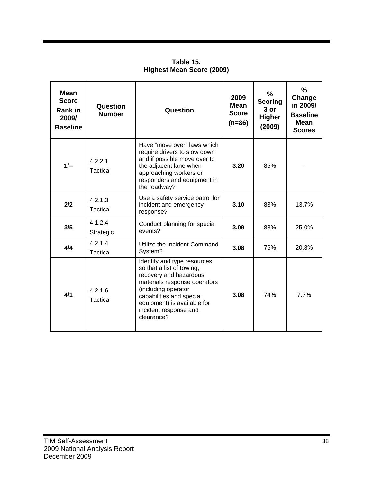<span id="page-42-0"></span>

| Mean<br><b>Score</b><br>Rank in<br>2009/<br><b>Baseline</b> | Question<br><b>Number</b> | Question                                                                                                                                                                                                                                    | 2009<br>Mean<br><b>Score</b><br>$(n=86)$ | $\%$<br><b>Scoring</b><br>$3$ or<br><b>Higher</b><br>(2009) | %<br>Change<br>in 2009/<br><b>Baseline</b><br>Mean<br><b>Scores</b> |
|-------------------------------------------------------------|---------------------------|---------------------------------------------------------------------------------------------------------------------------------------------------------------------------------------------------------------------------------------------|------------------------------------------|-------------------------------------------------------------|---------------------------------------------------------------------|
| $1/-$                                                       | 4.2.2.1<br>Tactical       | Have "move over" laws which<br>require drivers to slow down<br>and if possible move over to<br>the adjacent lane when<br>approaching workers or<br>responders and equipment in<br>the roadway?                                              | 3.20                                     | 85%                                                         |                                                                     |
| 2/2                                                         | 4.2.1.3<br>Tactical       | Use a safety service patrol for<br>incident and emergency<br>response?                                                                                                                                                                      | 3.10                                     | 83%                                                         | 13.7%                                                               |
| 3/5                                                         | 4.1.2.4<br>Strategic      | Conduct planning for special<br>events?                                                                                                                                                                                                     | 3.09                                     | 88%                                                         | 25.0%                                                               |
| 4/4                                                         | 4.2.1.4<br>Tactical       | Utilize the Incident Command<br>System?                                                                                                                                                                                                     | 3.08                                     | 76%                                                         | 20.8%                                                               |
| 4/1                                                         | 4.2.1.6<br>Tactical       | Identify and type resources<br>so that a list of towing,<br>recovery and hazardous<br>materials response operators<br>(including operator<br>capabilities and special<br>equipment) is available for<br>incident response and<br>clearance? | 3.08                                     | 74%                                                         | 7.7%                                                                |

**Table 15. Highest Mean Score (2009)**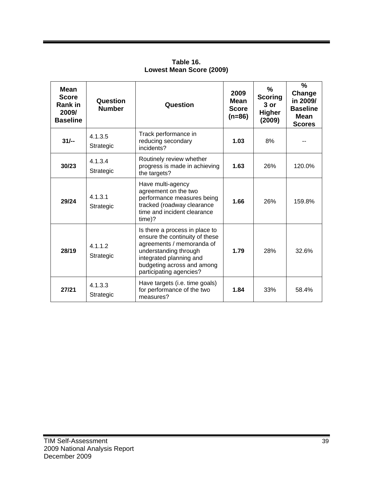<span id="page-43-0"></span>

| <b>Mean</b><br><b>Score</b><br><b>Rank in</b><br>2009/<br><b>Baseline</b> | Question<br><b>Number</b> | Question                                                                                                                                                                                                   | 2009<br><b>Mean</b><br><b>Score</b><br>(n=86) | %<br><b>Scoring</b><br>3 or<br><b>Higher</b><br>(2009) | $\frac{9}{6}$<br>Change<br>in 2009/<br><b>Baseline</b><br>Mean<br><b>Scores</b> |
|---------------------------------------------------------------------------|---------------------------|------------------------------------------------------------------------------------------------------------------------------------------------------------------------------------------------------------|-----------------------------------------------|--------------------------------------------------------|---------------------------------------------------------------------------------|
| $31/-$                                                                    | 4.1.3.5<br>Strategic      | Track performance in<br>reducing secondary<br>incidents?                                                                                                                                                   | 1.03                                          | 8%                                                     |                                                                                 |
| 30/23                                                                     | 4.1.3.4<br>Strategic      | Routinely review whether<br>progress is made in achieving<br>the targets?                                                                                                                                  | 1.63                                          | 26%                                                    | 120.0%                                                                          |
| 29/24                                                                     | 4.1.3.1<br>Strategic      | Have multi-agency<br>agreement on the two<br>performance measures being<br>tracked (roadway clearance<br>time and incident clearance<br>time)?                                                             | 1.66                                          | 26%                                                    | 159.8%                                                                          |
| 28/19                                                                     | 4.1.1.2<br>Strategic      | Is there a process in place to<br>ensure the continuity of these<br>agreements / memoranda of<br>understanding through<br>integrated planning and<br>budgeting across and among<br>participating agencies? | 1.79                                          | 28%                                                    | 32.6%                                                                           |
| 27/21                                                                     | 4.1.3.3<br>Strategic      | Have targets (i.e. time goals)<br>for performance of the two<br>measures?                                                                                                                                  | 1.84                                          | 33%                                                    | 58.4%                                                                           |

**Table 16. Lowest Mean Score (2009)**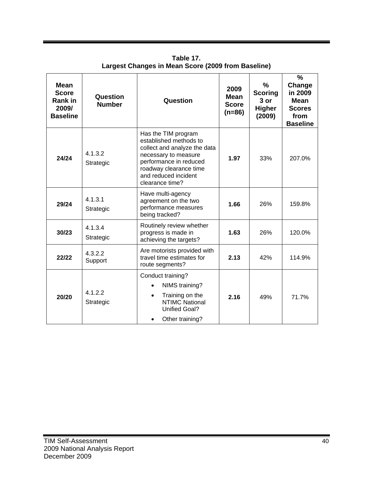**Table 17. Largest Changes in Mean Score (2009 from Baseline)** 

<span id="page-44-0"></span>

| Mean<br><b>Score</b><br>Rank in<br>2009/<br><b>Baseline</b> | Question<br><b>Number</b> | Question                                                                                                                                                                                             | 2009<br><b>Mean</b><br><b>Score</b><br>$(n=86)$ | ℅<br><b>Scoring</b><br>3 or<br><b>Higher</b><br>(2009) | $\frac{9}{6}$<br>Change<br>in 2009<br><b>Mean</b><br><b>Scores</b><br>from<br><b>Baseline</b> |
|-------------------------------------------------------------|---------------------------|------------------------------------------------------------------------------------------------------------------------------------------------------------------------------------------------------|-------------------------------------------------|--------------------------------------------------------|-----------------------------------------------------------------------------------------------|
| 24/24                                                       | 4.1.3.2<br>Strategic      | Has the TIM program<br>established methods to<br>collect and analyze the data<br>necessary to measure<br>performance in reduced<br>roadway clearance time<br>and reduced incident<br>clearance time? | 1.97                                            | 33%                                                    | 207.0%                                                                                        |
| 29/24                                                       | 4.1.3.1<br>Strategic      | Have multi-agency<br>agreement on the two<br>performance measures<br>being tracked?                                                                                                                  | 1.66                                            | 26%                                                    | 159.8%                                                                                        |
| 30/23                                                       | 4.1.3.4<br>Strategic      | Routinely review whether<br>progress is made in<br>achieving the targets?                                                                                                                            | 1.63                                            | 26%                                                    | 120.0%                                                                                        |
| 22/22                                                       | 4.3.2.2<br>Support        | Are motorists provided with<br>travel time estimates for<br>route segments?                                                                                                                          | 2.13                                            | 42%                                                    | 114.9%                                                                                        |
| 20/20                                                       | 4.1.2.2<br>Strategic      | Conduct training?<br>NIMS training?<br>Training on the<br>$\bullet$<br><b>NTIMC National</b><br><b>Unified Goal?</b><br>Other training?                                                              | 2.16                                            | 49%                                                    | 71.7%                                                                                         |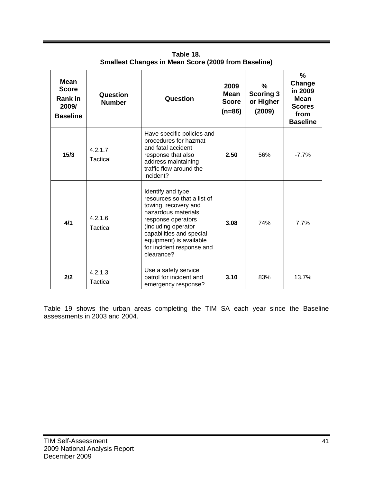<span id="page-45-0"></span>

| <b>Mean</b><br><b>Score</b><br><b>Rank in</b><br>2009/<br><b>Baseline</b> | Question<br><b>Number</b>  | Question                                                                                                                                                                                                                                       | 2009<br><b>Mean</b><br><b>Score</b><br>$(n=86)$ | $\frac{9}{6}$<br><b>Scoring 3</b><br>or Higher<br>(2009) | $\%$<br>Change<br>in 2009<br>Mean<br><b>Scores</b><br>from<br><b>Baseline</b> |
|---------------------------------------------------------------------------|----------------------------|------------------------------------------------------------------------------------------------------------------------------------------------------------------------------------------------------------------------------------------------|-------------------------------------------------|----------------------------------------------------------|-------------------------------------------------------------------------------|
| 15/3                                                                      | 4.2.1.7<br><b>Tactical</b> | Have specific policies and<br>procedures for hazmat<br>and fatal accident<br>response that also<br>address maintaining<br>traffic flow around the<br>incident?                                                                                 | 2.50                                            | 56%                                                      | $-7.7%$                                                                       |
| 4/1                                                                       | 4.2.1.6<br>Tactical        | Identify and type<br>resources so that a list of<br>towing, recovery and<br>hazardous materials<br>response operators<br>(including operator<br>capabilities and special<br>equipment) is available<br>for incident response and<br>clearance? | 3.08                                            | 74%                                                      | 7.7%                                                                          |
| 2/2                                                                       | 4.2.1.3<br>Tactical        | Use a safety service<br>patrol for incident and<br>emergency response?                                                                                                                                                                         | 3.10                                            | 83%                                                      | 13.7%                                                                         |

**Table 18. Smallest Changes in Mean Score (2009 from Baseline)** 

Table 19 shows the urban areas completing the TIM SA each year since the Baseline assessments in 2003 and 2004.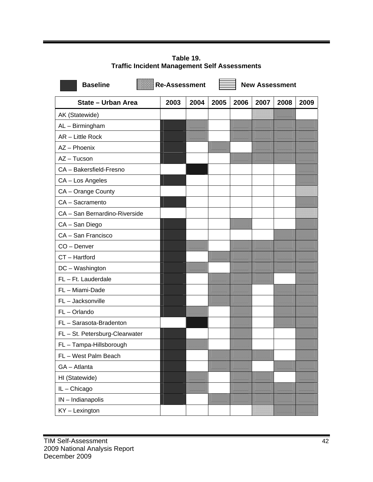<span id="page-46-0"></span>

| <b>Baseline</b>                | <b>Re-Assessment</b> |      |      |      |      | <b>New Assessment</b> |      |
|--------------------------------|----------------------|------|------|------|------|-----------------------|------|
| <b>State - Urban Area</b>      | 2003                 | 2004 | 2005 | 2006 | 2007 | 2008                  | 2009 |
| AK (Statewide)                 |                      |      |      |      |      |                       |      |
| AL - Birmingham                |                      |      |      |      |      |                       |      |
| AR - Little Rock               |                      |      |      |      |      |                       |      |
| AZ - Phoenix                   |                      |      |      |      |      |                       |      |
| $AZ - Tucson$                  |                      |      |      |      |      |                       |      |
| CA - Bakersfield-Fresno        |                      |      |      |      |      |                       |      |
| CA - Los Angeles               |                      |      |      |      |      |                       |      |
| CA - Orange County             |                      |      |      |      |      |                       |      |
| CA - Sacramento                |                      |      |      |      |      |                       |      |
| CA - San Bernardino-Riverside  |                      |      |      |      |      |                       |      |
| CA - San Diego                 |                      |      |      |      |      |                       |      |
| CA - San Francisco             |                      |      |      |      |      |                       |      |
| CO - Denver                    |                      |      |      |      |      |                       |      |
| CT-Hartford                    |                      |      |      |      |      |                       |      |
| DC - Washington                |                      |      |      |      |      |                       |      |
| FL - Ft. Lauderdale            |                      |      |      |      |      |                       |      |
| FL - Miami-Dade                |                      |      |      |      |      |                       |      |
| FL - Jacksonville              |                      |      |      |      |      |                       |      |
| FL-Orlando                     |                      |      |      |      |      |                       |      |
| FL - Sarasota-Bradenton        |                      |      |      |      |      |                       |      |
| FL - St. Petersburg-Clearwater |                      |      |      |      |      |                       |      |
| FL - Tampa-Hillsborough        |                      |      |      |      |      |                       |      |
| FL - West Palm Beach           |                      |      |      |      |      |                       |      |
| GA - Atlanta                   |                      |      |      |      |      |                       |      |
| HI (Statewide)                 |                      |      |      |      |      |                       |      |
| IL-Chicago                     |                      |      |      |      |      |                       |      |
| IN - Indianapolis              |                      |      |      |      |      |                       |      |
| KY - Lexington                 |                      |      |      |      |      |                       |      |

**Table 19. Traffic Incident Management Self Assessments**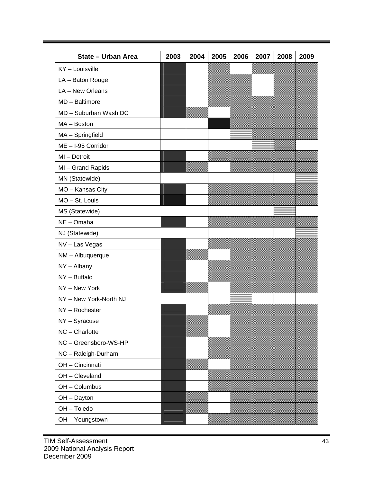| State - Urban Area     | 2003 | 2004 | 2005 | 2006 | 2007 | 2008 | 2009 |
|------------------------|------|------|------|------|------|------|------|
| KY - Louisville        |      |      |      |      |      |      |      |
| LA - Baton Rouge       |      |      |      |      |      |      |      |
| LA - New Orleans       |      |      |      |      |      |      |      |
| MD - Baltimore         |      |      |      |      |      |      |      |
| MD - Suburban Wash DC  |      |      |      |      |      |      |      |
| MA - Boston            |      |      |      |      |      |      |      |
| MA - Springfield       |      |      |      |      |      |      |      |
| ME - I-95 Corridor     |      |      |      |      |      |      |      |
| MI-Detroit             |      |      |      |      |      |      |      |
| MI-Grand Rapids        |      |      |      |      |      |      |      |
| MN (Statewide)         |      |      |      |      |      |      |      |
| MO - Kansas City       |      |      |      |      |      |      |      |
| MO - St. Louis         |      |      |      |      |      |      |      |
| MS (Statewide)         |      |      |      |      |      |      |      |
| $NE - Omaha$           |      |      |      |      |      |      |      |
| NJ (Statewide)         |      |      |      |      |      |      |      |
| NV - Las Vegas         |      |      |      |      |      |      |      |
| NM - Albuquerque       |      |      |      |      |      |      |      |
| NY - Albany            |      |      |      |      |      |      |      |
| NY - Buffalo           |      |      |      |      |      |      |      |
| NY - New York          |      |      |      |      |      |      |      |
| NY - New York-North NJ |      |      |      |      |      |      |      |
| NY-Rochester           |      |      |      |      |      |      |      |
| NY-Syracuse            |      |      |      |      |      |      |      |
| NC - Charlotte         |      |      |      |      |      |      |      |
| NC - Greensboro-WS-HP  |      |      |      |      |      |      |      |
| NC - Raleigh-Durham    |      |      |      |      |      |      |      |
| OH - Cincinnati        |      |      |      |      |      |      |      |
| OH-Cleveland           |      |      |      |      |      |      |      |
| OH-Columbus            |      |      |      |      |      |      |      |
| $OH -$ Dayton          |      |      |      |      |      |      |      |
| OH-Toledo              |      |      |      |      |      |      |      |
| OH - Youngstown        |      |      |      |      |      |      |      |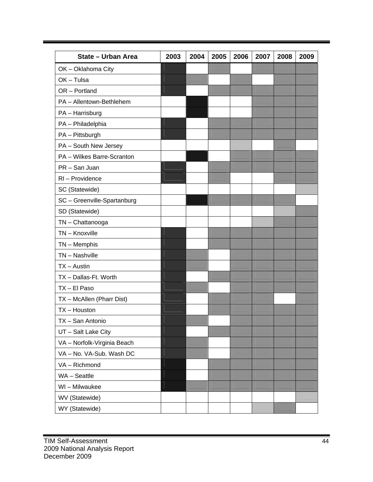| <b>State - Urban Area</b>   | 2003 | 2004 | 2005 | 2006 | 2007 | 2008 | 2009 |
|-----------------------------|------|------|------|------|------|------|------|
| OK - Oklahoma City          |      |      |      |      |      |      |      |
| OK-Tulsa                    |      |      |      |      |      |      |      |
| OR - Portland               |      |      |      |      |      |      |      |
| PA - Allentown-Bethlehem    |      |      |      |      |      |      |      |
| PA - Harrisburg             |      |      |      |      |      |      |      |
| PA - Philadelphia           |      |      |      |      |      |      |      |
| PA - Pittsburgh             |      |      |      |      |      |      |      |
| PA - South New Jersey       |      |      |      |      |      |      |      |
| PA - Wilkes Barre-Scranton  |      |      |      |      |      |      |      |
| PR - San Juan               |      |      |      |      |      |      |      |
| RI-Providence               |      |      |      |      |      |      |      |
| SC (Statewide)              |      |      |      |      |      |      |      |
| SC - Greenville-Spartanburg |      |      |      |      |      |      |      |
| SD (Statewide)              |      |      |      |      |      |      |      |
| TN-Chattanooga              |      |      |      |      |      |      |      |
| TN - Knoxville              |      |      |      |      |      |      |      |
| $TN - M$ emphis             |      |      |      |      |      |      |      |
| TN - Nashville              |      |      |      |      |      |      |      |
| $TX -$ Austin               |      |      |      |      |      |      |      |
| TX - Dallas-Ft. Worth       |      |      |      |      |      |      |      |
| TX - El Paso                |      |      |      |      |      |      |      |
| TX - McAllen (Pharr Dist)   |      |      |      |      |      |      |      |
| $TX - Houston$              |      |      |      |      |      |      |      |
| TX - San Antonio            |      |      |      |      |      |      |      |
| UT - Salt Lake City         |      |      |      |      |      |      |      |
| VA - Norfolk-Virginia Beach |      |      |      |      |      |      |      |
| VA - No. VA-Sub. Wash DC    |      |      |      |      |      |      |      |
| VA - Richmond               |      |      |      |      |      |      |      |
| WA-Seattle                  |      |      |      |      |      |      |      |
| WI-Milwaukee                |      |      |      |      |      |      |      |
| WV (Statewide)              |      |      |      |      |      |      |      |
| WY (Statewide)              |      |      |      |      |      |      |      |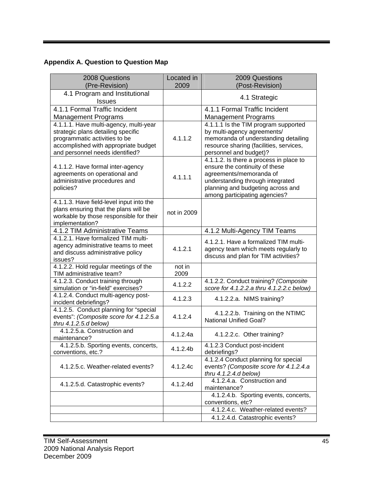# <span id="page-49-0"></span>**Appendix A. Question to Question Map**

| 2008 Questions                           | Located in  | 2009 Questions                            |
|------------------------------------------|-------------|-------------------------------------------|
| (Pre-Revision)                           | 2009        | (Post-Revision)                           |
| 4.1 Program and Institutional            |             | 4.1 Strategic                             |
| <b>Issues</b>                            |             |                                           |
| 4.1.1 Formal Traffic Incident            |             | 4.1.1 Formal Traffic Incident             |
| <b>Management Programs</b>               |             | Management Programs                       |
| 4.1.1.1. Have multi-agency, multi-year   |             | 4.1.1.1 Is the TIM program supported      |
| strategic plans detailing specific       |             | by multi-agency agreements/               |
| programmatic activities to be            | 4.1.1.2     | memoranda of understanding detailing      |
| accomplished with appropriate budget     |             | resource sharing (facilities, services,   |
| and personnel needs identified?          |             | personnel and budget)?                    |
|                                          |             | 4.1.1.2. Is there a process in place to   |
| 4.1.1.2. Have formal inter-agency        |             | ensure the continuity of these            |
| agreements on operational and            |             | agreements/memoranda of                   |
| administrative procedures and            | 4.1.1.1     | understanding through integrated          |
| policies?                                |             | planning and budgeting across and         |
|                                          |             | among participating agencies?             |
| 4.1.1.3. Have field-level input into the |             |                                           |
| plans ensuring that the plans will be    | not in 2009 |                                           |
| workable by those responsible for their  |             |                                           |
| implementation?                          |             |                                           |
| 4.1.2 TIM Administrative Teams           |             | 4.1.2 Multi-Agency TIM Teams              |
| 4.1.2.1. Have formalized TIM multi-      |             | 4.1.2.1. Have a formalized TIM multi-     |
| agency administrative teams to meet      | 4.1.2.1     | agency team which meets regularly to      |
| and discuss administrative policy        |             | discuss and plan for TIM activities?      |
| issues?                                  |             |                                           |
| 4.1.2.2. Hold regular meetings of the    | not in      |                                           |
| TIM administrative team?                 | 2009        |                                           |
| 4.1.2.3. Conduct training through        | 4.1.2.2     | 4.1.2.2. Conduct training? (Composite     |
| simulation or "in-field" exercises?      |             | score for 4.1.2.2.a thru 4.1.2.2.c below) |
| 4.1.2.4. Conduct multi-agency post-      | 4.1.2.3     | 4.1.2.2.a. NIMS training?                 |
| incident debriefings?                    |             |                                           |
| 4.1.2.5. Conduct planning for "special   |             | 4.1.2.2.b. Training on the NTIMC          |
| events": (Composite score for 4.1.2.5.a  | 4.1.2.4     | <b>National Unified Goal?</b>             |
| thru 4.1.2.5.d below)                    |             |                                           |
| 4.1.2.5.a. Construction and              | 4.1.2.4a    | 4.1.2.2.c. Other training?                |
| maintenance?                             |             |                                           |
| 4.1.2.5.b. Sporting events, concerts,    | 4.1.2.4b    | 4.1.2.3 Conduct post-incident             |
| conventions, etc.?                       |             | debriefings?                              |
|                                          |             | 4.1.2.4 Conduct planning for special      |
| 4.1.2.5.c. Weather-related events?       | 4.1.2.4c    | events? (Composite score for 4.1.2.4.a    |
|                                          |             | thru $4.1.2.4.d$ below)                   |
| 4.1.2.5.d. Catastrophic events?          | 4.1.2.4d    | 4.1.2.4.a. Construction and               |
|                                          |             | maintenance?                              |
|                                          |             | 4.1.2.4.b. Sporting events, concerts,     |
|                                          |             | conventions, etc?                         |
|                                          |             | 4.1.2.4.c. Weather-related events?        |
|                                          |             | 4.1.2.4.d. Catastrophic events?           |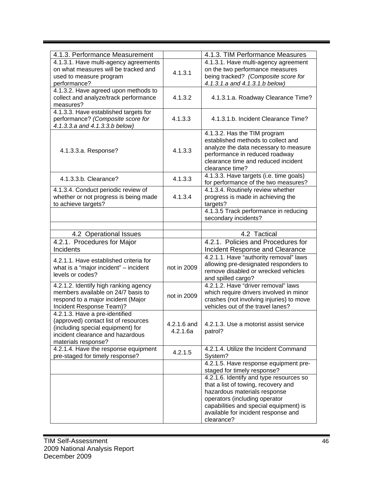| 4.1.3. Performance Measurement                                                                                                                                         |                         | 4.1.3. TIM Performance Measures                                                                                                                                                                                                                |
|------------------------------------------------------------------------------------------------------------------------------------------------------------------------|-------------------------|------------------------------------------------------------------------------------------------------------------------------------------------------------------------------------------------------------------------------------------------|
| 4.1.3.1. Have multi-agency agreements<br>on what measures will be tracked and<br>used to measure program<br>performance?                                               | 4.1.3.1                 | 4.1.3.1. Have multi-agency agreement<br>on the two performance measures<br>being tracked? (Composite score for<br>4.1.3.1.a and 4.1.3.1.b below)                                                                                               |
| 4.1.3.2. Have agreed upon methods to<br>collect and analyze/track performance<br>measures?                                                                             | 4.1.3.2                 | 4.1.3.1.a. Roadway Clearance Time?                                                                                                                                                                                                             |
| 4.1.3.3. Have established targets for<br>performance? (Composite score for<br>4.1.3.3.a and 4.1.3.3.b below)                                                           | 4.1.3.3                 | 4.1.3.1.b. Incident Clearance Time?                                                                                                                                                                                                            |
| 4.1.3.3.a. Response?                                                                                                                                                   | 4.1.3.3                 | 4.1.3.2. Has the TIM program<br>established methods to collect and<br>analyze the data necessary to measure<br>performance in reduced roadway<br>clearance time and reduced incident<br>clearance time?                                        |
| 4.1.3.3.b. Clearance?                                                                                                                                                  | 4.1.3.3                 | 4.1.3.3. Have targets (i.e. time goals)<br>for performance of the two measures?                                                                                                                                                                |
| 4.1.3.4. Conduct periodic review of<br>whether or not progress is being made<br>to achieve targets?                                                                    | 4.1.3.4                 | 4.1.3.4. Routinely review whether<br>progress is made in achieving the<br>targets?                                                                                                                                                             |
|                                                                                                                                                                        |                         | 4.1.3.5 Track performance in reducing<br>secondary incidents?                                                                                                                                                                                  |
|                                                                                                                                                                        |                         |                                                                                                                                                                                                                                                |
| 4.2 Operational Issues                                                                                                                                                 |                         | 4.2 Tactical                                                                                                                                                                                                                                   |
| 4.2.1. Procedures for Major<br><b>Incidents</b>                                                                                                                        |                         | 4.2.1. Policies and Procedures for<br>Incident Response and Clearance                                                                                                                                                                          |
| 4.2.1.1. Have established criteria for<br>what is a "major incident" – incident<br>levels or codes?                                                                    | not in 2009             | 4.2.1.1. Have "authority removal" laws<br>allowing pre-designated responders to<br>remove disabled or wrecked vehicles<br>and spilled cargo?                                                                                                   |
| 4.2.1.2. Identify high ranking agency<br>members available on 24/7 basis to<br>respond to a major incident (Major<br>Incident Response Team)?                          | not in 2009             | 4.2.1.2. Have "driver removal" laws<br>which require drivers involved in minor<br>crashes (not involving injuries) to move<br>vehicles out of the travel lanes?                                                                                |
| 4.2.1.3. Have a pre-identified<br>(approved) contact list of resources<br>(including special equipment) for<br>incident clearance and hazardous<br>materials response? | 4.2.1.6 and<br>4.2.1.6a | 4.2.1.3. Use a motorist assist service<br>patrol?                                                                                                                                                                                              |
| 4.2.1.4. Have the response equipment<br>pre-staged for timely response?                                                                                                | 4.2.1.5                 | 4.2.1.4. Utilize the Incident Command<br>System?                                                                                                                                                                                               |
|                                                                                                                                                                        |                         | 4.2.1.5. Have response equipment pre-<br>staged for timely response?                                                                                                                                                                           |
|                                                                                                                                                                        |                         | 4.2.1.6. Identify and type resources so<br>that a list of towing, recovery and<br>hazardous materials response<br>operators (including operator<br>capabilities and special equipment) is<br>available for incident response and<br>clearance? |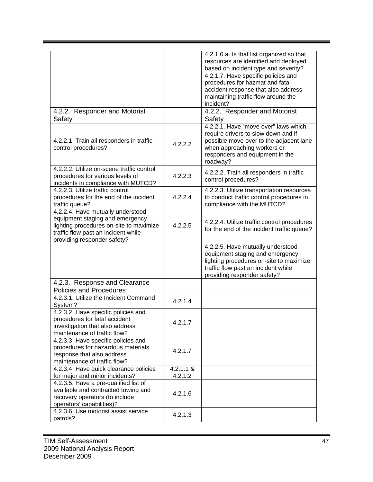|                                           |           | 4.2.1.6.a. Is that list organized so that   |
|-------------------------------------------|-----------|---------------------------------------------|
|                                           |           | resources are identified and deployed       |
|                                           |           | based on incident type and severity?        |
|                                           |           | 4.2.1.7. Have specific policies and         |
|                                           |           | procedures for hazmat and fatal             |
|                                           |           | accident response that also address         |
|                                           |           | maintaining traffic flow around the         |
|                                           |           | incident?                                   |
| 4.2.2. Responder and Motorist             |           | 4.2.2. Responder and Motorist               |
| Safety                                    |           | Safety                                      |
|                                           |           | 4.2.2.1. Have "move over" laws which        |
|                                           |           | require drivers to slow down and if         |
| 4.2.2.1. Train all responders in traffic  |           | possible move over to the adjacent lane     |
| control procedures?                       | 4.2.2.2   | when approaching workers or                 |
|                                           |           | responders and equipment in the             |
|                                           |           | roadway?                                    |
| 4.2.2.2. Utilize on-scene traffic control |           |                                             |
| procedures for various levels of          | 4.2.2.3   | 4.2.2.2. Train all responders in traffic    |
|                                           |           | control procedures?                         |
| incidents in compliance with MUTCD?       |           |                                             |
| 4.2.2.3. Utilize traffic control          |           | 4.2.2.3. Utilize transportation resources   |
| procedures for the end of the incident    | 4.2.2.4   | to conduct traffic control procedures in    |
| traffic queue?                            |           | compliance with the MUTCD?                  |
| 4.2.2.4. Have mutually understood         |           |                                             |
| equipment staging and emergency           |           | 4.2.2.4. Utilize traffic control procedures |
| lighting procedures on-site to maximize   | 4.2.2.5   | for the end of the incident traffic queue?  |
| traffic flow past an incident while       |           |                                             |
| providing responder safety?               |           |                                             |
|                                           |           | 4.2.2.5. Have mutually understood           |
|                                           |           | equipment staging and emergency             |
|                                           |           | lighting procedures on-site to maximize     |
|                                           |           | traffic flow past an incident while         |
|                                           |           | providing responder safety?                 |
| 4.2.3. Response and Clearance             |           |                                             |
| <b>Policies and Procedures</b>            |           |                                             |
| 4.2.3.1. Utilize the Incident Command     | 4.2.1.4   |                                             |
| System?                                   |           |                                             |
| 4.2.3.2. Have specific policies and       |           |                                             |
| procedures for fatal accident             | 4.2.1.7   |                                             |
| investigation that also address           |           |                                             |
| maintenance of traffic flow?              |           |                                             |
| 4.2.3.3. Have specific policies and       |           |                                             |
| procedures for hazardous materials        | 4.2.1.7   |                                             |
| response that also address                |           |                                             |
| maintenance of traffic flow?              |           |                                             |
| 4.2.3.4. Have quick clearance policies    | 4.2.1.1 & |                                             |
| for major and minor incidents?            | 4.2.1.2   |                                             |
| 4.2.3.5. Have a pre-qualified list of     |           |                                             |
| available and contracted towing and       |           |                                             |
| recovery operators (to include            | 4.2.1.6   |                                             |
| operators' capabilities)?                 |           |                                             |
| 4.2.3.6. Use motorist assist service      |           |                                             |
| patrols?                                  | 4.2.1.3   |                                             |
|                                           |           |                                             |